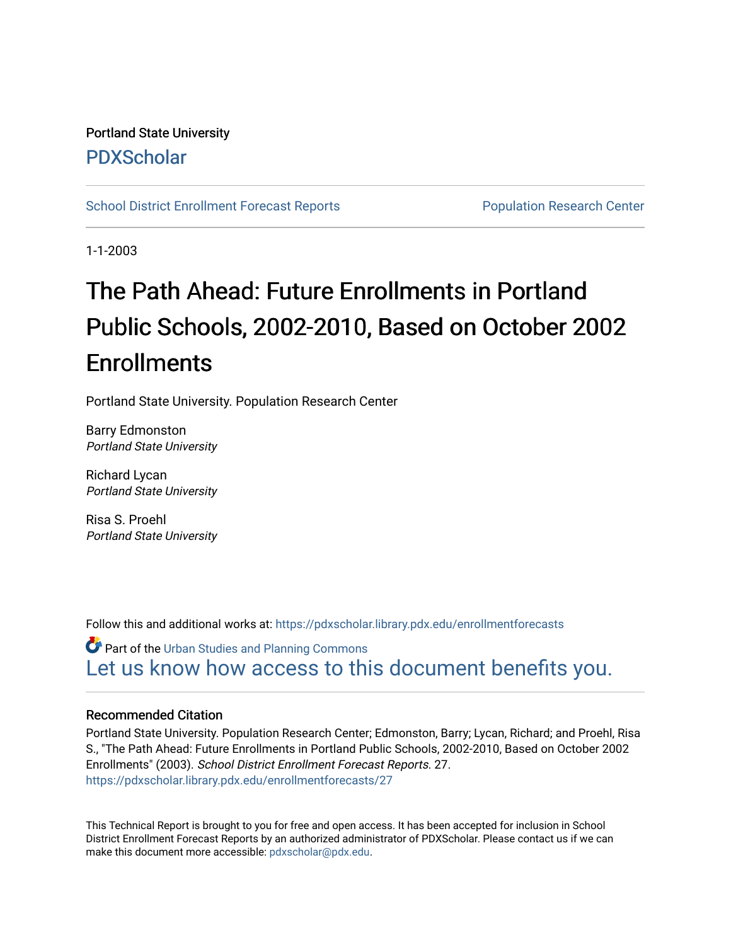## Portland State University [PDXScholar](https://pdxscholar.library.pdx.edu/)

[School District Enrollment Forecast Reports](https://pdxscholar.library.pdx.edu/enrollmentforecasts) **Population Research Center** Population Research Center

1-1-2003

# The Path Ahead: Future Enrollments in Portland Public Schools, 2002-2010, Based on October 2002 **Enrollments**

Portland State University. Population Research Center

Barry Edmonston Portland State University

Richard Lycan Portland State University

Risa S. Proehl Portland State University

Follow this and additional works at: [https://pdxscholar.library.pdx.edu/enrollmentforecasts](https://pdxscholar.library.pdx.edu/enrollmentforecasts?utm_source=pdxscholar.library.pdx.edu%2Fenrollmentforecasts%2F27&utm_medium=PDF&utm_campaign=PDFCoverPages) 

Part of the [Urban Studies and Planning Commons](http://network.bepress.com/hgg/discipline/436?utm_source=pdxscholar.library.pdx.edu%2Fenrollmentforecasts%2F27&utm_medium=PDF&utm_campaign=PDFCoverPages) [Let us know how access to this document benefits you.](http://library.pdx.edu/services/pdxscholar-services/pdxscholar-feedback/?ref=https://pdxscholar.library.pdx.edu/enrollmentforecasts/27) 

### Recommended Citation

Portland State University. Population Research Center; Edmonston, Barry; Lycan, Richard; and Proehl, Risa S., "The Path Ahead: Future Enrollments in Portland Public Schools, 2002-2010, Based on October 2002 Enrollments" (2003). School District Enrollment Forecast Reports. 27. [https://pdxscholar.library.pdx.edu/enrollmentforecasts/27](https://pdxscholar.library.pdx.edu/enrollmentforecasts/27?utm_source=pdxscholar.library.pdx.edu%2Fenrollmentforecasts%2F27&utm_medium=PDF&utm_campaign=PDFCoverPages)

This Technical Report is brought to you for free and open access. It has been accepted for inclusion in School District Enrollment Forecast Reports by an authorized administrator of PDXScholar. Please contact us if we can make this document more accessible: [pdxscholar@pdx.edu.](mailto:pdxscholar@pdx.edu)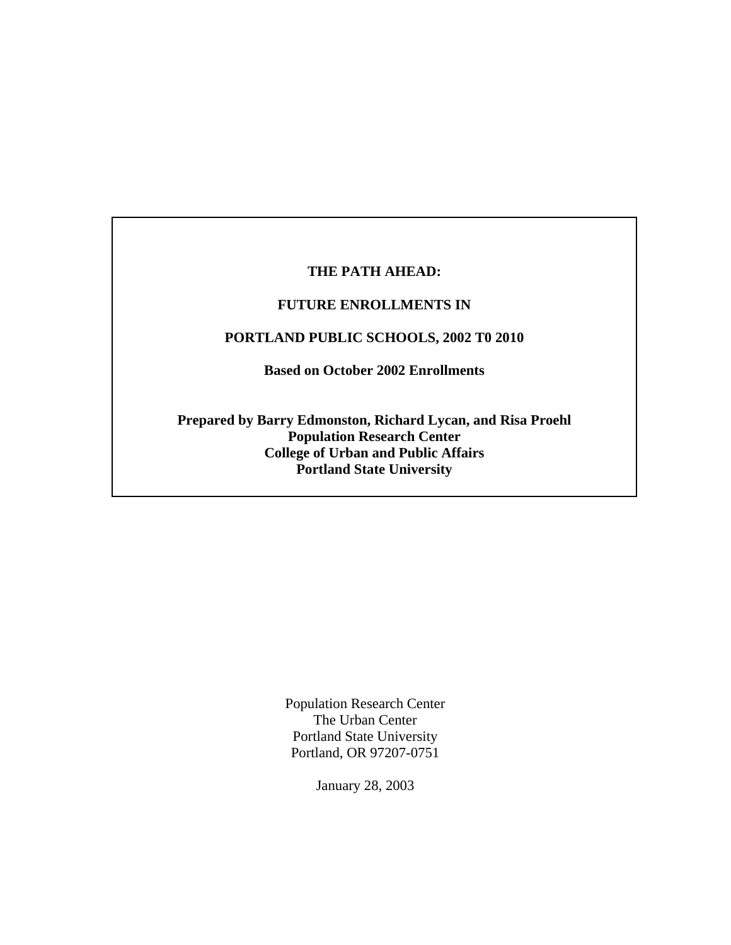## **THE PATH AHEAD:**

## **FUTURE ENROLLMENTS IN**

## **PORTLAND PUBLIC SCHOOLS, 2002 T0 2010**

**Based on October 2002 Enrollments** 

**Prepared by Barry Edmonston, Richard Lycan, and Risa Proehl Population Research Center College of Urban and Public Affairs Portland State University**

> Population Research Center The Urban Center Portland State University Portland, OR 97207-0751

> > January 28, 2003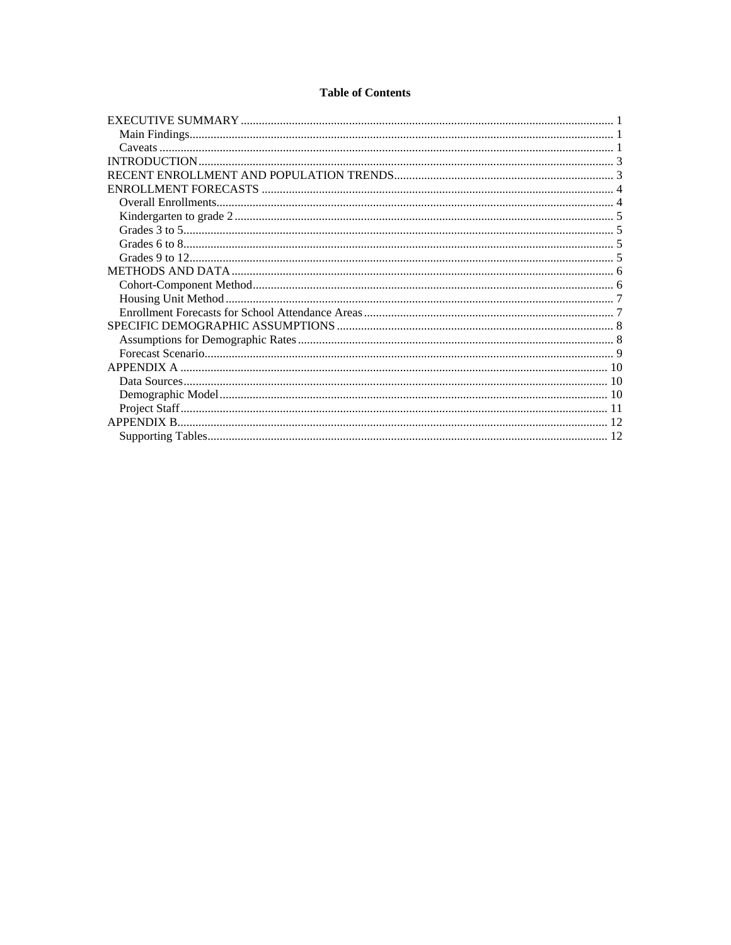#### **Table of Contents**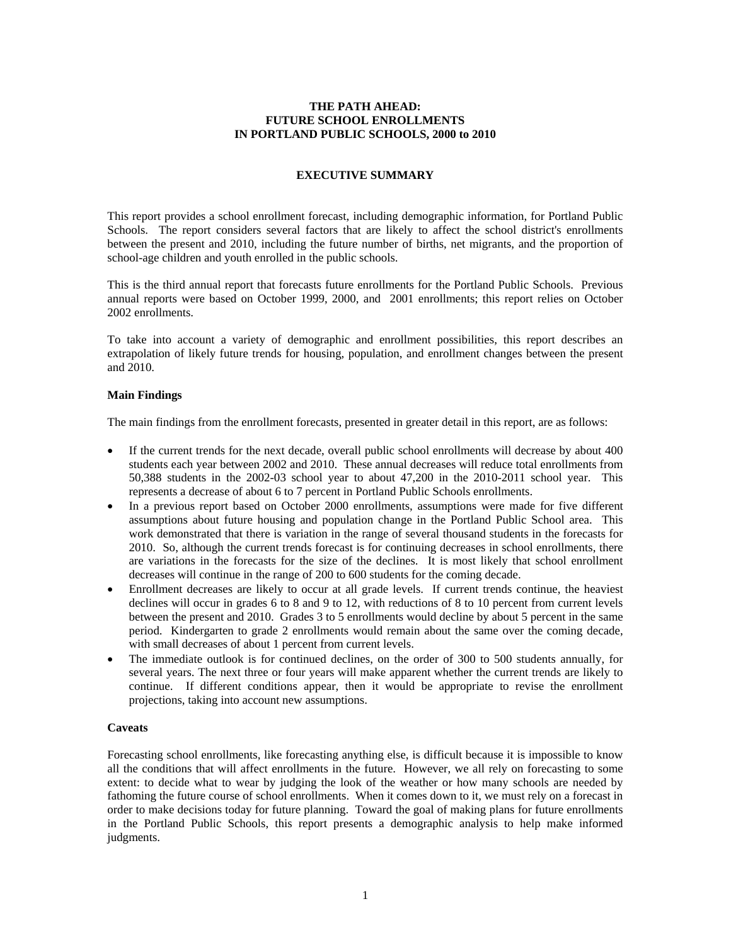#### **THE PATH AHEAD: FUTURE SCHOOL ENROLLMENTS IN PORTLAND PUBLIC SCHOOLS, 2000 to 2010**

#### **EXECUTIVE SUMMARY**

This report provides a school enrollment forecast, including demographic information, for Portland Public Schools. The report considers several factors that are likely to affect the school district's enrollments between the present and 2010, including the future number of births, net migrants, and the proportion of school-age children and youth enrolled in the public schools.

This is the third annual report that forecasts future enrollments for the Portland Public Schools. Previous annual reports were based on October 1999, 2000, and 2001 enrollments; this report relies on October 2002 enrollments.

To take into account a variety of demographic and enrollment possibilities, this report describes an extrapolation of likely future trends for housing, population, and enrollment changes between the present and 2010.

#### **Main Findings**

The main findings from the enrollment forecasts, presented in greater detail in this report, are as follows:

- If the current trends for the next decade, overall public school enrollments will decrease by about 400 students each year between 2002 and 2010. These annual decreases will reduce total enrollments from 50,388 students in the 2002-03 school year to about 47,200 in the 2010-2011 school year. This represents a decrease of about 6 to 7 percent in Portland Public Schools enrollments.
- In a previous report based on October 2000 enrollments, assumptions were made for five different assumptions about future housing and population change in the Portland Public School area. This work demonstrated that there is variation in the range of several thousand students in the forecasts for 2010. So, although the current trends forecast is for continuing decreases in school enrollments, there are variations in the forecasts for the size of the declines. It is most likely that school enrollment decreases will continue in the range of 200 to 600 students for the coming decade.
- Enrollment decreases are likely to occur at all grade levels. If current trends continue, the heaviest declines will occur in grades 6 to 8 and 9 to 12, with reductions of 8 to 10 percent from current levels between the present and 2010. Grades 3 to 5 enrollments would decline by about 5 percent in the same period. Kindergarten to grade 2 enrollments would remain about the same over the coming decade, with small decreases of about 1 percent from current levels.
- The immediate outlook is for continued declines, on the order of 300 to 500 students annually, for several years. The next three or four years will make apparent whether the current trends are likely to continue. If different conditions appear, then it would be appropriate to revise the enrollment projections, taking into account new assumptions.

#### **Caveats**

Forecasting school enrollments, like forecasting anything else, is difficult because it is impossible to know all the conditions that will affect enrollments in the future. However, we all rely on forecasting to some extent: to decide what to wear by judging the look of the weather or how many schools are needed by fathoming the future course of school enrollments. When it comes down to it, we must rely on a forecast in order to make decisions today for future planning. Toward the goal of making plans for future enrollments in the Portland Public Schools, this report presents a demographic analysis to help make informed judgments.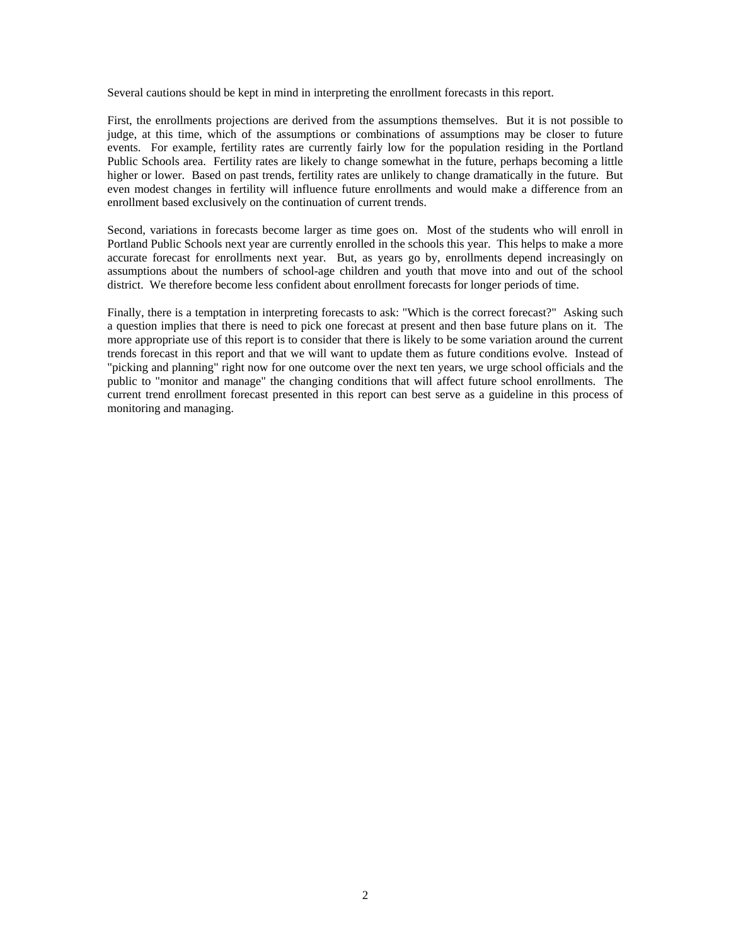Several cautions should be kept in mind in interpreting the enrollment forecasts in this report.

First, the enrollments projections are derived from the assumptions themselves. But it is not possible to judge, at this time, which of the assumptions or combinations of assumptions may be closer to future events. For example, fertility rates are currently fairly low for the population residing in the Portland Public Schools area. Fertility rates are likely to change somewhat in the future, perhaps becoming a little higher or lower. Based on past trends, fertility rates are unlikely to change dramatically in the future. But even modest changes in fertility will influence future enrollments and would make a difference from an enrollment based exclusively on the continuation of current trends.

Second, variations in forecasts become larger as time goes on. Most of the students who will enroll in Portland Public Schools next year are currently enrolled in the schools this year. This helps to make a more accurate forecast for enrollments next year. But, as years go by, enrollments depend increasingly on assumptions about the numbers of school-age children and youth that move into and out of the school district. We therefore become less confident about enrollment forecasts for longer periods of time.

Finally, there is a temptation in interpreting forecasts to ask: "Which is the correct forecast?" Asking such a question implies that there is need to pick one forecast at present and then base future plans on it. The more appropriate use of this report is to consider that there is likely to be some variation around the current trends forecast in this report and that we will want to update them as future conditions evolve. Instead of "picking and planning" right now for one outcome over the next ten years, we urge school officials and the public to "monitor and manage" the changing conditions that will affect future school enrollments. The current trend enrollment forecast presented in this report can best serve as a guideline in this process of monitoring and managing.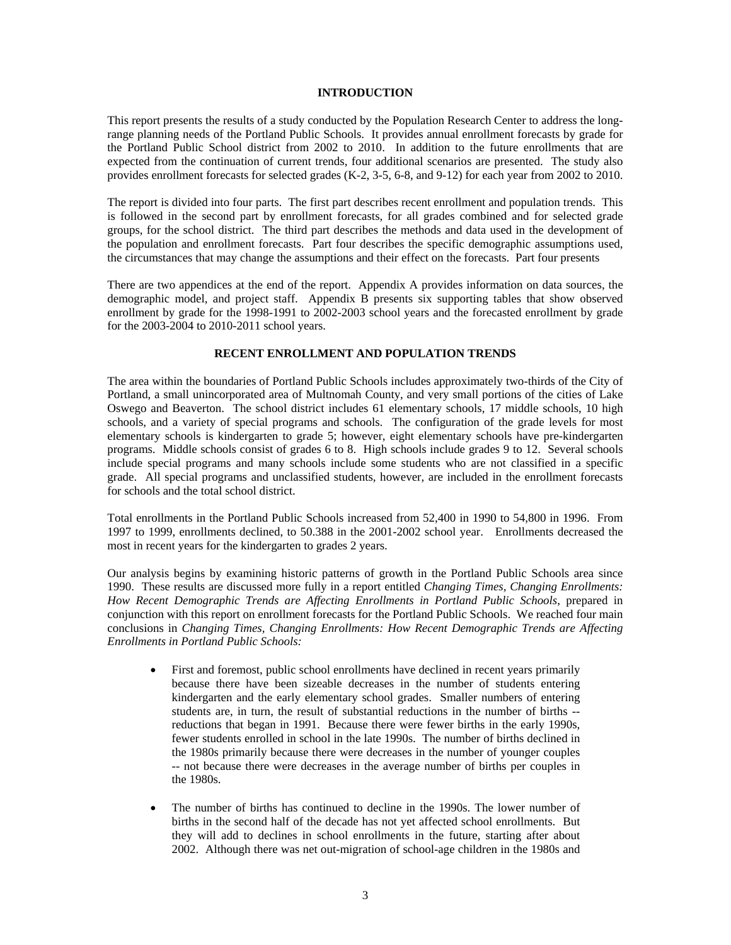#### **INTRODUCTION**

This report presents the results of a study conducted by the Population Research Center to address the longrange planning needs of the Portland Public Schools. It provides annual enrollment forecasts by grade for the Portland Public School district from 2002 to 2010. In addition to the future enrollments that are expected from the continuation of current trends, four additional scenarios are presented. The study also provides enrollment forecasts for selected grades (K-2, 3-5, 6-8, and 9-12) for each year from 2002 to 2010.

The report is divided into four parts. The first part describes recent enrollment and population trends. This is followed in the second part by enrollment forecasts, for all grades combined and for selected grade groups, for the school district. The third part describes the methods and data used in the development of the population and enrollment forecasts. Part four describes the specific demographic assumptions used, the circumstances that may change the assumptions and their effect on the forecasts. Part four presents

There are two appendices at the end of the report. Appendix A provides information on data sources, the demographic model, and project staff. Appendix B presents six supporting tables that show observed enrollment by grade for the 1998-1991 to 2002-2003 school years and the forecasted enrollment by grade for the 2003-2004 to 2010-2011 school years.

#### **RECENT ENROLLMENT AND POPULATION TRENDS**

The area within the boundaries of Portland Public Schools includes approximately two-thirds of the City of Portland, a small unincorporated area of Multnomah County, and very small portions of the cities of Lake Oswego and Beaverton. The school district includes 61 elementary schools, 17 middle schools, 10 high schools, and a variety of special programs and schools. The configuration of the grade levels for most elementary schools is kindergarten to grade 5; however, eight elementary schools have pre-kindergarten programs. Middle schools consist of grades 6 to 8. High schools include grades 9 to 12. Several schools include special programs and many schools include some students who are not classified in a specific grade. All special programs and unclassified students, however, are included in the enrollment forecasts for schools and the total school district.

Total enrollments in the Portland Public Schools increased from 52,400 in 1990 to 54,800 in 1996. From 1997 to 1999, enrollments declined, to 50.388 in the 2001-2002 school year. Enrollments decreased the most in recent years for the kindergarten to grades 2 years.

Our analysis begins by examining historic patterns of growth in the Portland Public Schools area since 1990. These results are discussed more fully in a report entitled *Changing Times, Changing Enrollments: How Recent Demographic Trends are Affecting Enrollments in Portland Public Schools*, prepared in conjunction with this report on enrollment forecasts for the Portland Public Schools. We reached four main conclusions in *Changing Times, Changing Enrollments: How Recent Demographic Trends are Affecting Enrollments in Portland Public Schools:* 

- First and foremost, public school enrollments have declined in recent years primarily because there have been sizeable decreases in the number of students entering kindergarten and the early elementary school grades. Smaller numbers of entering students are, in turn, the result of substantial reductions in the number of births - reductions that began in 1991. Because there were fewer births in the early 1990s, fewer students enrolled in school in the late 1990s. The number of births declined in the 1980s primarily because there were decreases in the number of younger couples -- not because there were decreases in the average number of births per couples in the 1980s.
- The number of births has continued to decline in the 1990s. The lower number of births in the second half of the decade has not yet affected school enrollments. But they will add to declines in school enrollments in the future, starting after about 2002. Although there was net out-migration of school-age children in the 1980s and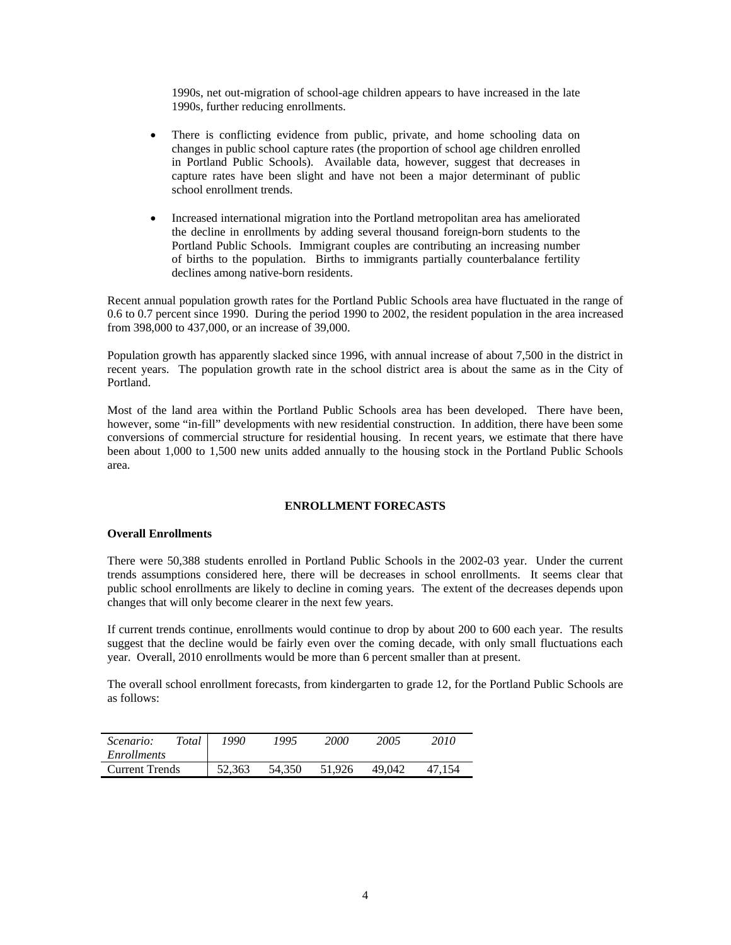1990s, net out-migration of school-age children appears to have increased in the late 1990s, further reducing enrollments.

- There is conflicting evidence from public, private, and home schooling data on changes in public school capture rates (the proportion of school age children enrolled in Portland Public Schools). Available data, however, suggest that decreases in capture rates have been slight and have not been a major determinant of public school enrollment trends.
- Increased international migration into the Portland metropolitan area has ameliorated the decline in enrollments by adding several thousand foreign-born students to the Portland Public Schools. Immigrant couples are contributing an increasing number of births to the population. Births to immigrants partially counterbalance fertility declines among native-born residents.

Recent annual population growth rates for the Portland Public Schools area have fluctuated in the range of 0.6 to 0.7 percent since 1990. During the period 1990 to 2002, the resident population in the area increased from 398,000 to 437,000, or an increase of 39,000.

Population growth has apparently slacked since 1996, with annual increase of about 7,500 in the district in recent years. The population growth rate in the school district area is about the same as in the City of Portland.

Most of the land area within the Portland Public Schools area has been developed. There have been, however, some "in-fill" developments with new residential construction. In addition, there have been some conversions of commercial structure for residential housing. In recent years, we estimate that there have been about 1,000 to 1,500 new units added annually to the housing stock in the Portland Public Schools area.

#### **ENROLLMENT FORECASTS**

#### **Overall Enrollments**

There were 50,388 students enrolled in Portland Public Schools in the 2002-03 year. Under the current trends assumptions considered here, there will be decreases in school enrollments. It seems clear that public school enrollments are likely to decline in coming years. The extent of the decreases depends upon changes that will only become clearer in the next few years.

If current trends continue, enrollments would continue to drop by about 200 to 600 each year. The results suggest that the decline would be fairly even over the coming decade, with only small fluctuations each year. Overall, 2010 enrollments would be more than 6 percent smaller than at present.

The overall school enrollment forecasts, from kindergarten to grade 12, for the Portland Public Schools are as follows:

| Total<br>Scenario:    | 1990   | 1995   | <i>2000</i> | 2005   | 2010 |
|-----------------------|--------|--------|-------------|--------|------|
| Enrollments           |        |        |             |        |      |
| <b>Current Trends</b> | 52.363 | 54.350 | 51.926      | 49.042 | 154  |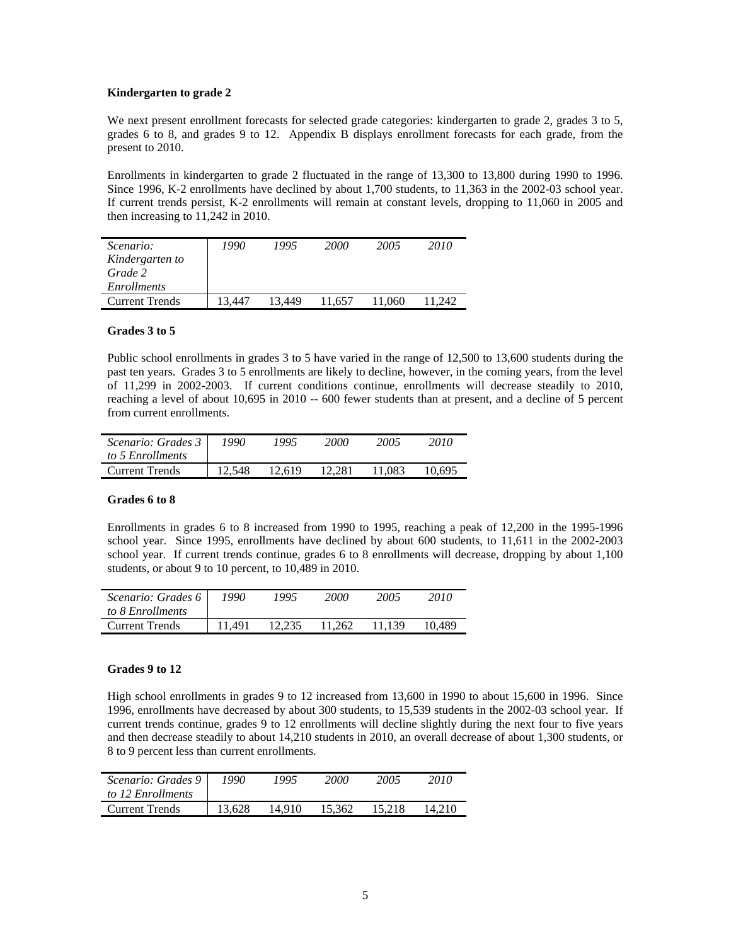#### **Kindergarten to grade 2**

We next present enrollment forecasts for selected grade categories: kindergarten to grade 2, grades 3 to 5, grades 6 to 8, and grades 9 to 12. Appendix B displays enrollment forecasts for each grade, from the present to 2010.

Enrollments in kindergarten to grade 2 fluctuated in the range of 13,300 to 13,800 during 1990 to 1996. Since 1996, K-2 enrollments have declined by about 1,700 students, to 11,363 in the 2002-03 school year. If current trends persist, K-2 enrollments will remain at constant levels, dropping to 11,060 in 2005 and then increasing to 11,242 in 2010.

| <i>Scenario:</i><br>Kindergarten to<br>Grade 2<br><i>Enrollments</i> | 1990  | 1995   | <b>2000</b> | 2005   | 2010   |
|----------------------------------------------------------------------|-------|--------|-------------|--------|--------|
| <b>Current Trends</b>                                                | 3.447 | 13.449 | 11.657      | 11.060 | 11.242 |

#### **Grades 3 to 5**

Public school enrollments in grades 3 to 5 have varied in the range of 12,500 to 13,600 students during the past ten years. Grades 3 to 5 enrollments are likely to decline, however, in the coming years, from the level of 11,299 in 2002-2003. If current conditions continue, enrollments will decrease steadily to 2010, reaching a level of about 10,695 in 2010 -- 600 fewer students than at present, and a decline of 5 percent from current enrollments.

| Scenario: Grades 3    | 1990   | 1995   | 2000   | 2005   | 2010   |
|-----------------------|--------|--------|--------|--------|--------|
| to 5 Enrollments      |        |        |        |        |        |
| <b>Current Trends</b> | 12.548 | 12.619 | 12.281 | 11.083 | 10.695 |

#### **Grades 6 to 8**

Enrollments in grades 6 to 8 increased from 1990 to 1995, reaching a peak of 12,200 in the 1995-1996 school year. Since 1995, enrollments have declined by about 600 students, to 11,611 in the 2002-2003 school year. If current trends continue, grades 6 to 8 enrollments will decrease, dropping by about 1,100 students, or about 9 to 10 percent, to 10,489 in 2010.

| Scenario: Grades 6<br>to 8 Enrollments | 1990   | 1995   | 2000   | 2005   | 2010   |
|----------------------------------------|--------|--------|--------|--------|--------|
| <b>Current Trends</b>                  | 11.491 | 12.235 | 11.262 | 11.139 | 10.489 |

#### **Grades 9 to 12**

High school enrollments in grades 9 to 12 increased from 13,600 in 1990 to about 15,600 in 1996. Since 1996, enrollments have decreased by about 300 students, to 15,539 students in the 2002-03 school year. If current trends continue, grades 9 to 12 enrollments will decline slightly during the next four to five years and then decrease steadily to about 14,210 students in 2010, an overall decrease of about 1,300 students, or 8 to 9 percent less than current enrollments.

| Scenario: Grades 9    | 1990   | 1995   | 2000   | 2005   | 2010   |
|-----------------------|--------|--------|--------|--------|--------|
| to 12 Enrollments     |        |        |        |        |        |
| <b>Current Trends</b> | 13.628 | 14.910 | 15.362 | 15.218 | 14.210 |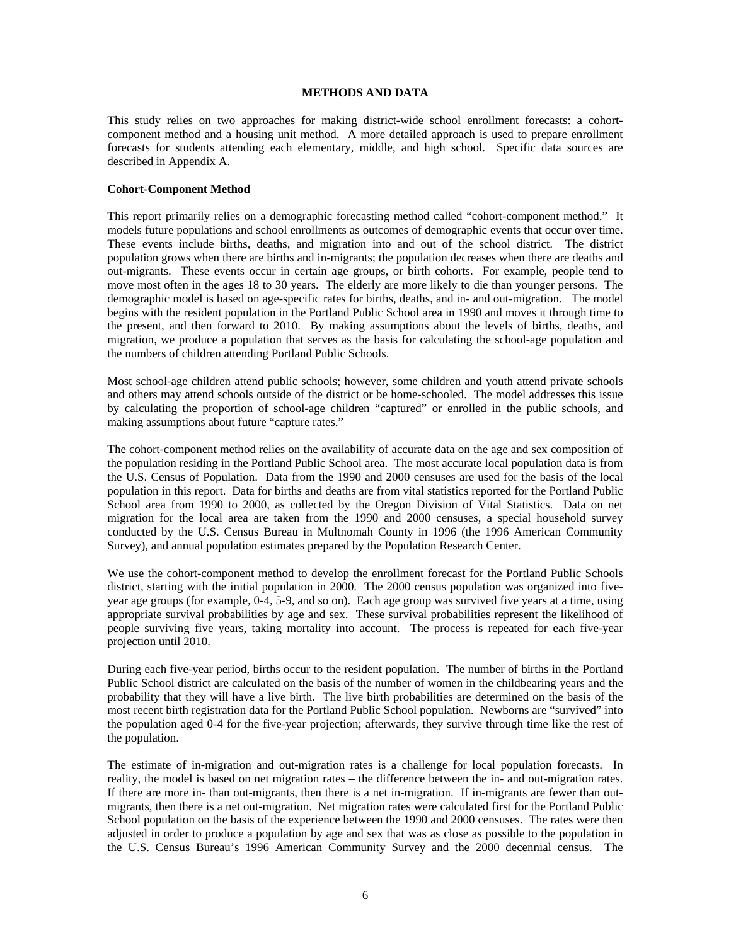#### **METHODS AND DATA**

This study relies on two approaches for making district-wide school enrollment forecasts: a cohortcomponent method and a housing unit method. A more detailed approach is used to prepare enrollment forecasts for students attending each elementary, middle, and high school. Specific data sources are described in Appendix A.

#### **Cohort-Component Method**

This report primarily relies on a demographic forecasting method called "cohort-component method." It models future populations and school enrollments as outcomes of demographic events that occur over time. These events include births, deaths, and migration into and out of the school district. The district population grows when there are births and in-migrants; the population decreases when there are deaths and out-migrants. These events occur in certain age groups, or birth cohorts. For example, people tend to move most often in the ages 18 to 30 years. The elderly are more likely to die than younger persons. The demographic model is based on age-specific rates for births, deaths, and in- and out-migration. The model begins with the resident population in the Portland Public School area in 1990 and moves it through time to the present, and then forward to 2010. By making assumptions about the levels of births, deaths, and migration, we produce a population that serves as the basis for calculating the school-age population and the numbers of children attending Portland Public Schools.

Most school-age children attend public schools; however, some children and youth attend private schools and others may attend schools outside of the district or be home-schooled. The model addresses this issue by calculating the proportion of school-age children "captured" or enrolled in the public schools, and making assumptions about future "capture rates."

The cohort-component method relies on the availability of accurate data on the age and sex composition of the population residing in the Portland Public School area. The most accurate local population data is from the U.S. Census of Population. Data from the 1990 and 2000 censuses are used for the basis of the local population in this report. Data for births and deaths are from vital statistics reported for the Portland Public School area from 1990 to 2000, as collected by the Oregon Division of Vital Statistics. Data on net migration for the local area are taken from the 1990 and 2000 censuses, a special household survey conducted by the U.S. Census Bureau in Multnomah County in 1996 (the 1996 American Community Survey), and annual population estimates prepared by the Population Research Center.

We use the cohort-component method to develop the enrollment forecast for the Portland Public Schools district, starting with the initial population in 2000. The 2000 census population was organized into fiveyear age groups (for example, 0-4, 5-9, and so on). Each age group was survived five years at a time, using appropriate survival probabilities by age and sex. These survival probabilities represent the likelihood of people surviving five years, taking mortality into account. The process is repeated for each five-year projection until 2010.

During each five-year period, births occur to the resident population. The number of births in the Portland Public School district are calculated on the basis of the number of women in the childbearing years and the probability that they will have a live birth. The live birth probabilities are determined on the basis of the most recent birth registration data for the Portland Public School population. Newborns are "survived" into the population aged 0-4 for the five-year projection; afterwards, they survive through time like the rest of the population.

The estimate of in-migration and out-migration rates is a challenge for local population forecasts. In reality, the model is based on net migration rates – the difference between the in- and out-migration rates. If there are more in- than out-migrants, then there is a net in-migration. If in-migrants are fewer than outmigrants, then there is a net out-migration. Net migration rates were calculated first for the Portland Public School population on the basis of the experience between the 1990 and 2000 censuses. The rates were then adjusted in order to produce a population by age and sex that was as close as possible to the population in the U.S. Census Bureau's 1996 American Community Survey and the 2000 decennial census. The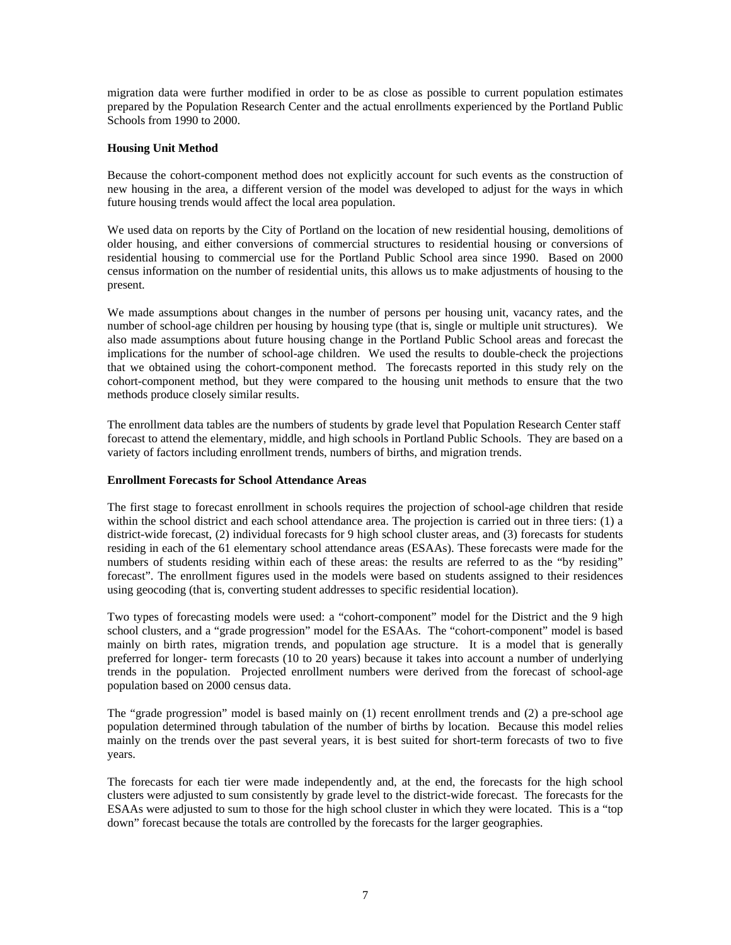migration data were further modified in order to be as close as possible to current population estimates prepared by the Population Research Center and the actual enrollments experienced by the Portland Public Schools from 1990 to 2000.

#### **Housing Unit Method**

Because the cohort-component method does not explicitly account for such events as the construction of new housing in the area, a different version of the model was developed to adjust for the ways in which future housing trends would affect the local area population.

We used data on reports by the City of Portland on the location of new residential housing, demolitions of older housing, and either conversions of commercial structures to residential housing or conversions of residential housing to commercial use for the Portland Public School area since 1990. Based on 2000 census information on the number of residential units, this allows us to make adjustments of housing to the present.

We made assumptions about changes in the number of persons per housing unit, vacancy rates, and the number of school-age children per housing by housing type (that is, single or multiple unit structures). We also made assumptions about future housing change in the Portland Public School areas and forecast the implications for the number of school-age children. We used the results to double-check the projections that we obtained using the cohort-component method. The forecasts reported in this study rely on the cohort-component method, but they were compared to the housing unit methods to ensure that the two methods produce closely similar results.

The enrollment data tables are the numbers of students by grade level that Population Research Center staff forecast to attend the elementary, middle, and high schools in Portland Public Schools. They are based on a variety of factors including enrollment trends, numbers of births, and migration trends.

#### **Enrollment Forecasts for School Attendance Areas**

The first stage to forecast enrollment in schools requires the projection of school-age children that reside within the school district and each school attendance area. The projection is carried out in three tiers: (1) a district-wide forecast, (2) individual forecasts for 9 high school cluster areas, and (3) forecasts for students residing in each of the 61 elementary school attendance areas (ESAAs). These forecasts were made for the numbers of students residing within each of these areas: the results are referred to as the "by residing" forecast". The enrollment figures used in the models were based on students assigned to their residences using geocoding (that is, converting student addresses to specific residential location).

Two types of forecasting models were used: a "cohort-component" model for the District and the 9 high school clusters, and a "grade progression" model for the ESAAs. The "cohort-component" model is based mainly on birth rates, migration trends, and population age structure. It is a model that is generally preferred for longer- term forecasts (10 to 20 years) because it takes into account a number of underlying trends in the population. Projected enrollment numbers were derived from the forecast of school-age population based on 2000 census data.

The "grade progression" model is based mainly on (1) recent enrollment trends and (2) a pre-school age population determined through tabulation of the number of births by location. Because this model relies mainly on the trends over the past several years, it is best suited for short-term forecasts of two to five years.

The forecasts for each tier were made independently and, at the end, the forecasts for the high school clusters were adjusted to sum consistently by grade level to the district-wide forecast. The forecasts for the ESAAs were adjusted to sum to those for the high school cluster in which they were located. This is a "top down" forecast because the totals are controlled by the forecasts for the larger geographies.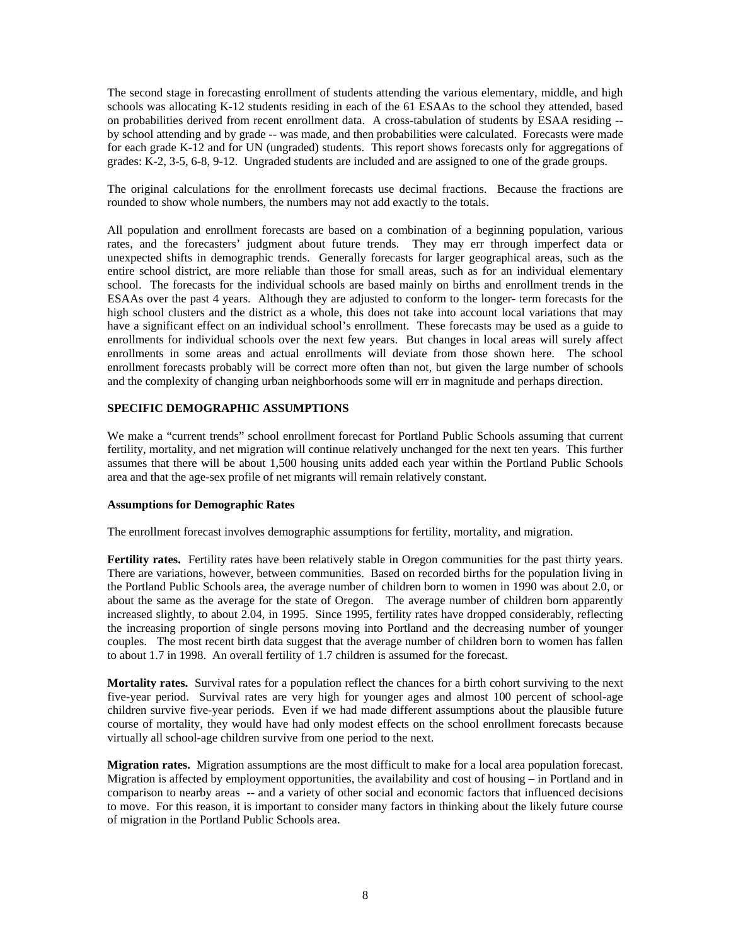The second stage in forecasting enrollment of students attending the various elementary, middle, and high schools was allocating K-12 students residing in each of the 61 ESAAs to the school they attended, based on probabilities derived from recent enrollment data. A cross-tabulation of students by ESAA residing - by school attending and by grade -- was made, and then probabilities were calculated. Forecasts were made for each grade K-12 and for UN (ungraded) students. This report shows forecasts only for aggregations of grades: K-2, 3-5, 6-8, 9-12. Ungraded students are included and are assigned to one of the grade groups.

The original calculations for the enrollment forecasts use decimal fractions. Because the fractions are rounded to show whole numbers, the numbers may not add exactly to the totals.

All population and enrollment forecasts are based on a combination of a beginning population, various rates, and the forecasters' judgment about future trends. They may err through imperfect data or unexpected shifts in demographic trends. Generally forecasts for larger geographical areas, such as the entire school district, are more reliable than those for small areas, such as for an individual elementary school. The forecasts for the individual schools are based mainly on births and enrollment trends in the ESAAs over the past 4 years. Although they are adjusted to conform to the longer- term forecasts for the high school clusters and the district as a whole, this does not take into account local variations that may have a significant effect on an individual school's enrollment. These forecasts may be used as a guide to enrollments for individual schools over the next few years. But changes in local areas will surely affect enrollments in some areas and actual enrollments will deviate from those shown here. The school enrollment forecasts probably will be correct more often than not, but given the large number of schools and the complexity of changing urban neighborhoods some will err in magnitude and perhaps direction.

#### **SPECIFIC DEMOGRAPHIC ASSUMPTIONS**

We make a "current trends" school enrollment forecast for Portland Public Schools assuming that current fertility, mortality, and net migration will continue relatively unchanged for the next ten years. This further assumes that there will be about 1,500 housing units added each year within the Portland Public Schools area and that the age-sex profile of net migrants will remain relatively constant.

#### **Assumptions for Demographic Rates**

The enrollment forecast involves demographic assumptions for fertility, mortality, and migration.

**Fertility rates.** Fertility rates have been relatively stable in Oregon communities for the past thirty years. There are variations, however, between communities. Based on recorded births for the population living in the Portland Public Schools area, the average number of children born to women in 1990 was about 2.0, or about the same as the average for the state of Oregon. The average number of children born apparently increased slightly, to about 2.04, in 1995. Since 1995, fertility rates have dropped considerably, reflecting the increasing proportion of single persons moving into Portland and the decreasing number of younger couples. The most recent birth data suggest that the average number of children born to women has fallen to about 1.7 in 1998. An overall fertility of 1.7 children is assumed for the forecast.

**Mortality rates.** Survival rates for a population reflect the chances for a birth cohort surviving to the next five-year period. Survival rates are very high for younger ages and almost 100 percent of school-age children survive five-year periods. Even if we had made different assumptions about the plausible future course of mortality, they would have had only modest effects on the school enrollment forecasts because virtually all school-age children survive from one period to the next.

**Migration rates.** Migration assumptions are the most difficult to make for a local area population forecast. Migration is affected by employment opportunities, the availability and cost of housing – in Portland and in comparison to nearby areas -- and a variety of other social and economic factors that influenced decisions to move. For this reason, it is important to consider many factors in thinking about the likely future course of migration in the Portland Public Schools area.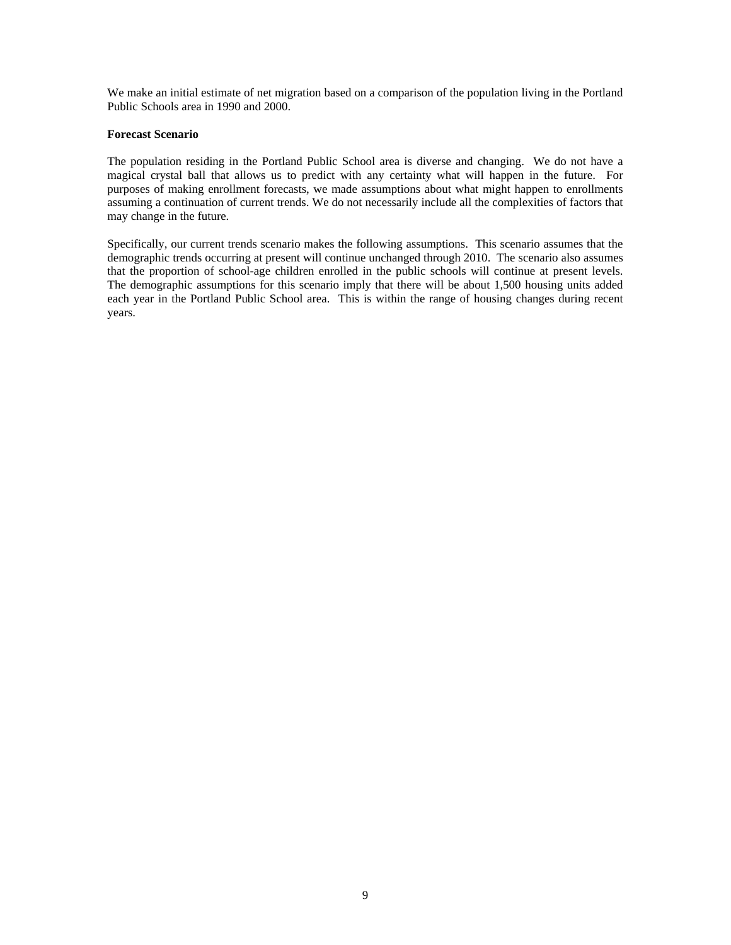We make an initial estimate of net migration based on a comparison of the population living in the Portland Public Schools area in 1990 and 2000.

#### **Forecast Scenario**

The population residing in the Portland Public School area is diverse and changing. We do not have a magical crystal ball that allows us to predict with any certainty what will happen in the future. For purposes of making enrollment forecasts, we made assumptions about what might happen to enrollments assuming a continuation of current trends. We do not necessarily include all the complexities of factors that may change in the future.

Specifically, our current trends scenario makes the following assumptions. This scenario assumes that the demographic trends occurring at present will continue unchanged through 2010. The scenario also assumes that the proportion of school-age children enrolled in the public schools will continue at present levels. The demographic assumptions for this scenario imply that there will be about 1,500 housing units added each year in the Portland Public School area. This is within the range of housing changes during recent years.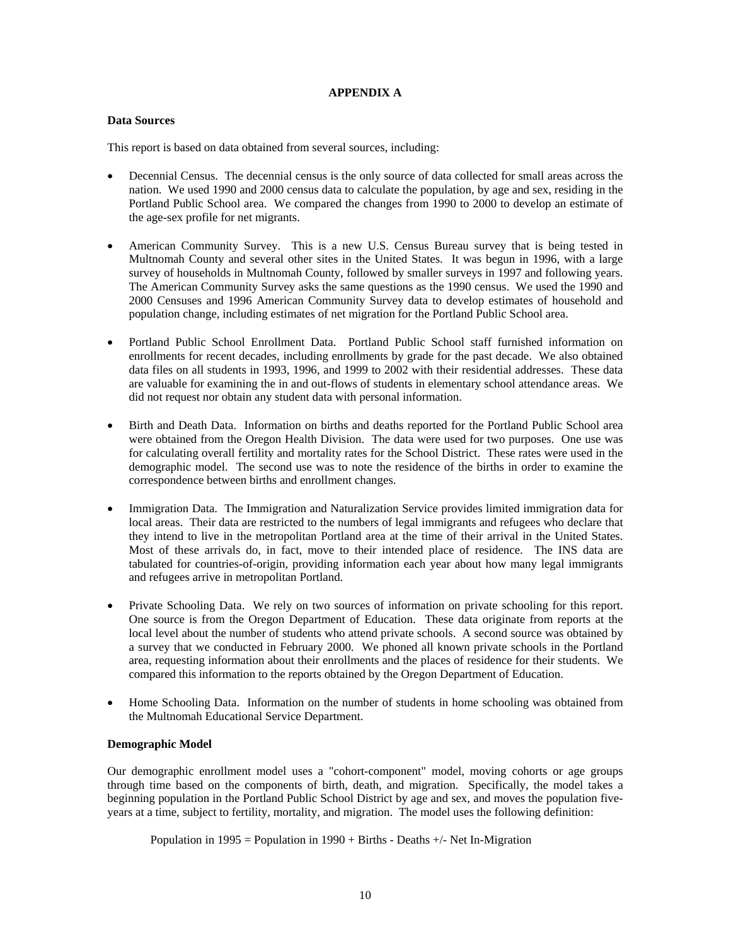#### **APPENDIX A**

#### **Data Sources**

This report is based on data obtained from several sources, including:

- Decennial Census. The decennial census is the only source of data collected for small areas across the nation. We used 1990 and 2000 census data to calculate the population, by age and sex, residing in the Portland Public School area. We compared the changes from 1990 to 2000 to develop an estimate of the age-sex profile for net migrants.
- American Community Survey. This is a new U.S. Census Bureau survey that is being tested in Multnomah County and several other sites in the United States. It was begun in 1996, with a large survey of households in Multnomah County, followed by smaller surveys in 1997 and following years. The American Community Survey asks the same questions as the 1990 census. We used the 1990 and 2000 Censuses and 1996 American Community Survey data to develop estimates of household and population change, including estimates of net migration for the Portland Public School area.
- Portland Public School Enrollment Data. Portland Public School staff furnished information on enrollments for recent decades, including enrollments by grade for the past decade. We also obtained data files on all students in 1993, 1996, and 1999 to 2002 with their residential addresses. These data are valuable for examining the in and out-flows of students in elementary school attendance areas. We did not request nor obtain any student data with personal information.
- Birth and Death Data. Information on births and deaths reported for the Portland Public School area were obtained from the Oregon Health Division. The data were used for two purposes. One use was for calculating overall fertility and mortality rates for the School District. These rates were used in the demographic model. The second use was to note the residence of the births in order to examine the correspondence between births and enrollment changes.
- Immigration Data. The Immigration and Naturalization Service provides limited immigration data for local areas. Their data are restricted to the numbers of legal immigrants and refugees who declare that they intend to live in the metropolitan Portland area at the time of their arrival in the United States. Most of these arrivals do, in fact, move to their intended place of residence. The INS data are tabulated for countries-of-origin, providing information each year about how many legal immigrants and refugees arrive in metropolitan Portland.
- Private Schooling Data. We rely on two sources of information on private schooling for this report. One source is from the Oregon Department of Education. These data originate from reports at the local level about the number of students who attend private schools. A second source was obtained by a survey that we conducted in February 2000. We phoned all known private schools in the Portland area, requesting information about their enrollments and the places of residence for their students. We compared this information to the reports obtained by the Oregon Department of Education.
- Home Schooling Data. Information on the number of students in home schooling was obtained from the Multnomah Educational Service Department.

#### **Demographic Model**

Our demographic enrollment model uses a "cohort-component" model, moving cohorts or age groups through time based on the components of birth, death, and migration. Specifically, the model takes a beginning population in the Portland Public School District by age and sex, and moves the population fiveyears at a time, subject to fertility, mortality, and migration. The model uses the following definition:

Population in 1995 = Population in 1990 + Births - Deaths  $+/-$  Net In-Migration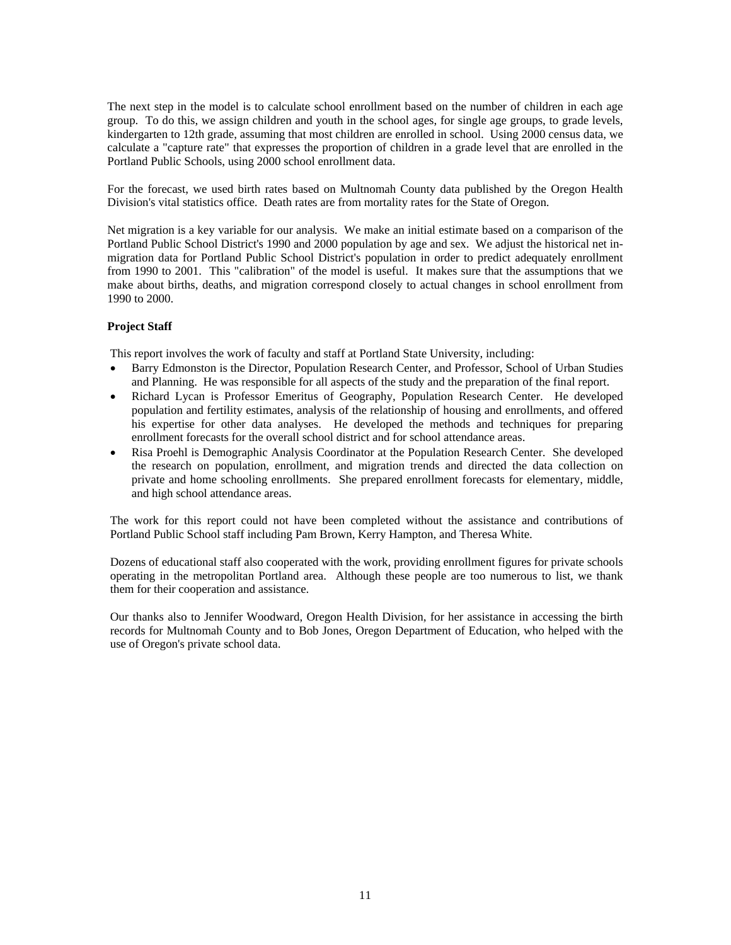The next step in the model is to calculate school enrollment based on the number of children in each age group. To do this, we assign children and youth in the school ages, for single age groups, to grade levels, kindergarten to 12th grade, assuming that most children are enrolled in school. Using 2000 census data, we calculate a "capture rate" that expresses the proportion of children in a grade level that are enrolled in the Portland Public Schools, using 2000 school enrollment data.

For the forecast, we used birth rates based on Multnomah County data published by the Oregon Health Division's vital statistics office. Death rates are from mortality rates for the State of Oregon.

Net migration is a key variable for our analysis. We make an initial estimate based on a comparison of the Portland Public School District's 1990 and 2000 population by age and sex. We adjust the historical net inmigration data for Portland Public School District's population in order to predict adequately enrollment from 1990 to 2001. This "calibration" of the model is useful. It makes sure that the assumptions that we make about births, deaths, and migration correspond closely to actual changes in school enrollment from 1990 to 2000.

#### **Project Staff**

This report involves the work of faculty and staff at Portland State University, including:

- Barry Edmonston is the Director, Population Research Center, and Professor, School of Urban Studies and Planning. He was responsible for all aspects of the study and the preparation of the final report.
- Richard Lycan is Professor Emeritus of Geography, Population Research Center. He developed population and fertility estimates, analysis of the relationship of housing and enrollments, and offered his expertise for other data analyses. He developed the methods and techniques for preparing enrollment forecasts for the overall school district and for school attendance areas.
- Risa Proehl is Demographic Analysis Coordinator at the Population Research Center. She developed the research on population, enrollment, and migration trends and directed the data collection on private and home schooling enrollments. She prepared enrollment forecasts for elementary, middle, and high school attendance areas.

The work for this report could not have been completed without the assistance and contributions of Portland Public School staff including Pam Brown, Kerry Hampton, and Theresa White.

Dozens of educational staff also cooperated with the work, providing enrollment figures for private schools operating in the metropolitan Portland area. Although these people are too numerous to list, we thank them for their cooperation and assistance.

Our thanks also to Jennifer Woodward, Oregon Health Division, for her assistance in accessing the birth records for Multnomah County and to Bob Jones, Oregon Department of Education, who helped with the use of Oregon's private school data.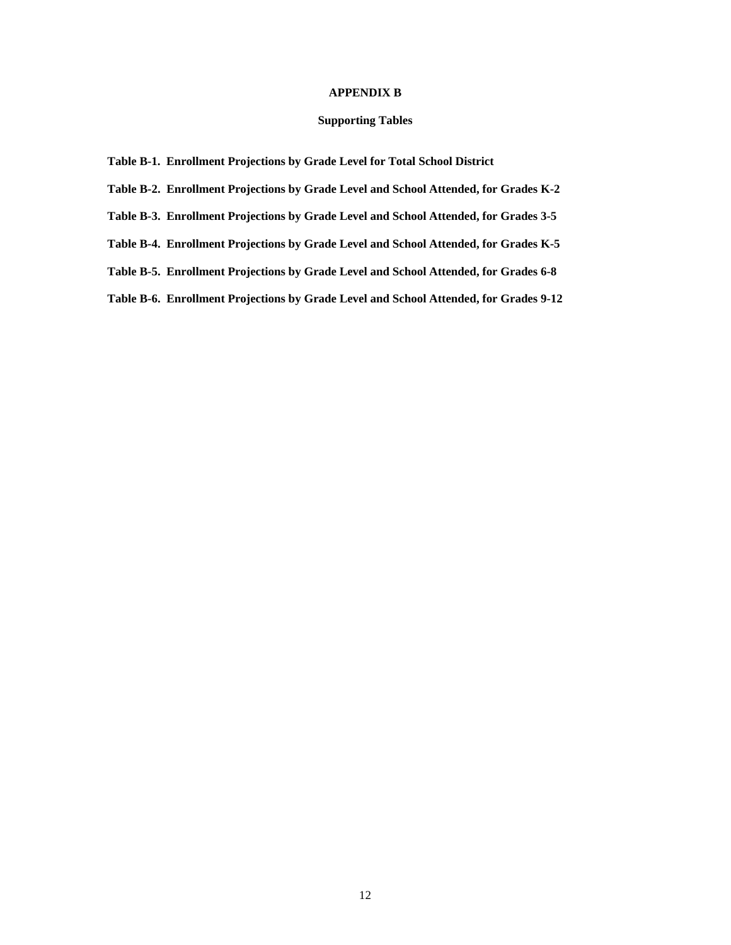#### **APPENDIX B**

#### **Supporting Tables**

**Table B-1. Enrollment Projections by Grade Level for Total School District** 

**Table B-2. Enrollment Projections by Grade Level and School Attended, for Grades K-2** 

**Table B-3. Enrollment Projections by Grade Level and School Attended, for Grades 3-5** 

**Table B-4. Enrollment Projections by Grade Level and School Attended, for Grades K-5** 

**Table B-5. Enrollment Projections by Grade Level and School Attended, for Grades 6-8** 

**Table B-6. Enrollment Projections by Grade Level and School Attended, for Grades 9-12**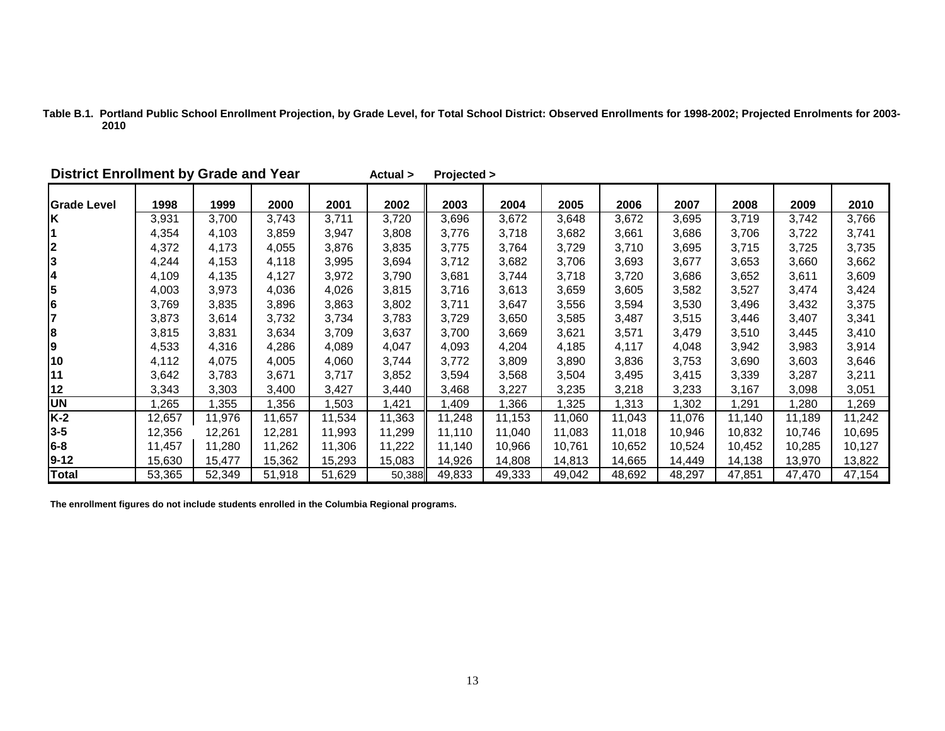| Table B.1. Portland Public School Enrollment Projection, by Grade Level, for Total School District: Observed Enrollments for 1998-2002; Projected Enrolments for 2003- |  |  |
|------------------------------------------------------------------------------------------------------------------------------------------------------------------------|--|--|
| 2010                                                                                                                                                                   |  |  |

| <b>District Enrollment by Grade and Year</b> |        |        |        |        | Actual > | Projected > |        |        |        |        |        |        |        |
|----------------------------------------------|--------|--------|--------|--------|----------|-------------|--------|--------|--------|--------|--------|--------|--------|
| <b>Grade Level</b>                           | 1998   | 1999   | 2000   | 2001   | 2002     | 2003        | 2004   | 2005   | 2006   | 2007   | 2008   | 2009   | 2010   |
| İΚ                                           | 3,931  | 3,700  | 3,743  | 3,711  | 3,720    | 3,696       | 3,672  | 3,648  | 3,672  | 3,695  | 3,719  | 3,742  | 3,766  |
| $\mathbf 1$                                  | 4,354  | 4,103  | 3,859  | 3,947  | 3,808    | 3,776       | 3,718  | 3,682  | 3,661  | 3,686  | 3,706  | 3,722  | 3,741  |
| 234567                                       | 4,372  | 4,173  | 4,055  | 3,876  | 3,835    | 3,775       | 3,764  | 3,729  | 3,710  | 3,695  | 3,715  | 3,725  | 3,735  |
|                                              | 4,244  | 4,153  | 4,118  | 3,995  | 3,694    | 3,712       | 3,682  | 3,706  | 3,693  | 3,677  | 3,653  | 3,660  | 3,662  |
|                                              | 4,109  | 4,135  | 4,127  | 3,972  | 3,790    | 3,681       | 3,744  | 3,718  | 3,720  | 3,686  | 3,652  | 3,611  | 3,609  |
|                                              | 4,003  | 3,973  | 4,036  | 4,026  | 3,815    | 3,716       | 3,613  | 3,659  | 3,605  | 3,582  | 3,527  | 3,474  | 3,424  |
|                                              | 3,769  | 3,835  | 3,896  | 3,863  | 3,802    | 3,711       | 3,647  | 3,556  | 3,594  | 3,530  | 3,496  | 3,432  | 3,375  |
|                                              | 3,873  | 3,614  | 3,732  | 3,734  | 3,783    | 3,729       | 3,650  | 3,585  | 3,487  | 3,515  | 3,446  | 3,407  | 3,341  |
| 8<br>9                                       | 3,815  | 3,831  | 3,634  | 3,709  | 3,637    | 3,700       | 3,669  | 3,621  | 3,571  | 3,479  | 3,510  | 3,445  | 3,410  |
|                                              | 4,533  | 4,316  | 4,286  | 4,089  | 4,047    | 4,093       | 4,204  | 4,185  | 4,117  | 4,048  | 3,942  | 3,983  | 3,914  |
| 10                                           | 4,112  | 4,075  | 4,005  | 4,060  | 3,744    | 3,772       | 3,809  | 3,890  | 3,836  | 3,753  | 3,690  | 3,603  | 3,646  |
| 11                                           | 3,642  | 3,783  | 3,671  | 3,717  | 3,852    | 3,594       | 3,568  | 3,504  | 3,495  | 3,415  | 3,339  | 3,287  | 3,211  |
| 12                                           | 3,343  | 3,303  | 3,400  | 3,427  | 3,440    | 3,468       | 3,227  | 3,235  | 3,218  | 3,233  | 3,167  | 3,098  | 3,051  |
| <b>UN</b>                                    | ,265   | ,355   | 1,356  | ,503   | 1,421    | 1,409       | 1,366  | 1,325  | 1,313  | 1,302  | 1,291  | 280, ا | ,269   |
| $K-2$                                        | 12,657 | 11,976 | 11,657 | 11,534 | 11,363   | 11,248      | 11,153 | 11,060 | 11,043 | 11,076 | 11,140 | 11,189 | 11,242 |
| $3 - 5$                                      | 12,356 | 12,261 | 12,281 | 11,993 | 11,299   | 11,110      | 11,040 | 11,083 | 11,018 | 10,946 | 10,832 | 10,746 | 10,695 |
| $6 - 8$                                      | 11,457 | 11,280 | 11,262 | 11,306 | 11,222   | 11,140      | 10,966 | 10,761 | 10,652 | 10,524 | 10,452 | 10,285 | 10,127 |
| $9-12$                                       | 15,630 | 15,477 | 15,362 | 15,293 | 15,083   | 14,926      | 14,808 | 14,813 | 14,665 | 14,449 | 14,138 | 13,970 | 13,822 |
| <b>Total</b>                                 | 53,365 | 52,349 | 51,918 | 51,629 | 50,388   | 49,833      | 49,333 | 49,042 | 48,692 | 48,297 | 47,851 | 47,470 | 47,154 |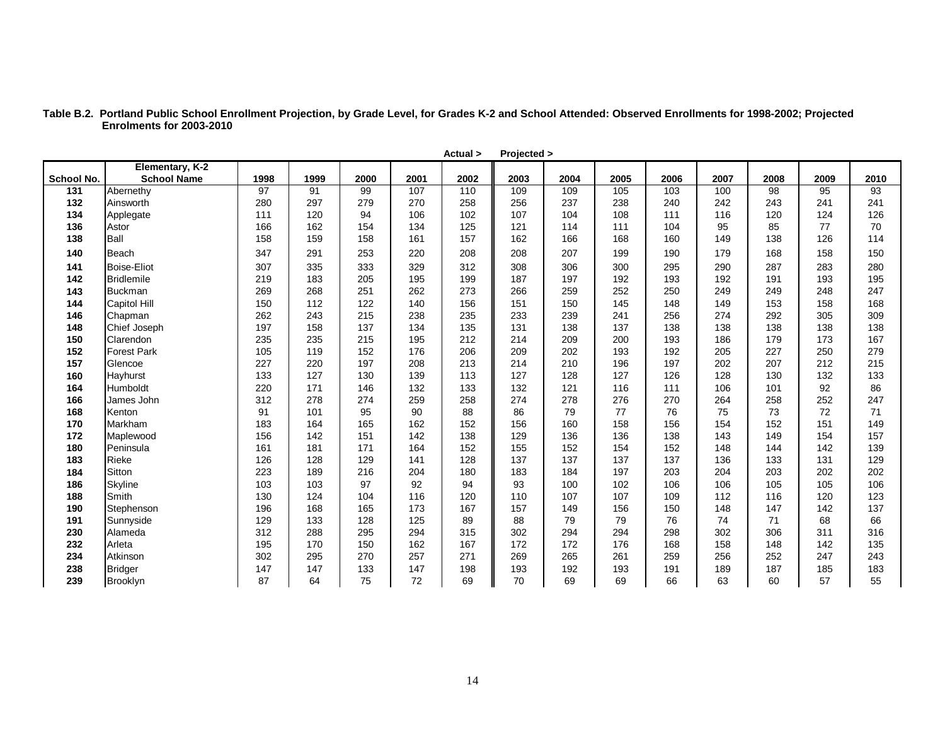| Table B.2. Portland Public School Enrollment Projection, by Grade Level, for Grades K-2 and School Attended: Observed Enrollments for 1998-2002; Projected |
|------------------------------------------------------------------------------------------------------------------------------------------------------------|
| Enrolments for 2003-2010                                                                                                                                   |

|                   |                                       |      |      |      |      | Actual > | Projected > |      |      |      |      |      |      |      |
|-------------------|---------------------------------------|------|------|------|------|----------|-------------|------|------|------|------|------|------|------|
| <b>School No.</b> | Elementary, K-2<br><b>School Name</b> | 1998 | 1999 | 2000 | 2001 | 2002     | 2003        | 2004 | 2005 | 2006 | 2007 | 2008 | 2009 | 2010 |
| 131               | Abernethy                             | 97   | 91   | 99   | 107  | 110      | 109         | 109  | 105  | 103  | 100  | 98   | 95   | 93   |
| 132               | Ainsworth                             | 280  | 297  | 279  | 270  | 258      | 256         | 237  | 238  | 240  | 242  | 243  | 241  | 241  |
| 134               | Applegate                             | 111  | 120  | 94   | 106  | 102      | 107         | 104  | 108  | 111  | 116  | 120  | 124  | 126  |
| 136               | Astor                                 | 166  | 162  | 154  | 134  | 125      | 121         | 114  | 111  | 104  | 95   | 85   | 77   | 70   |
| 138               | Ball                                  | 158  | 159  | 158  | 161  | 157      | 162         | 166  | 168  | 160  | 149  | 138  | 126  | 114  |
| 140               | Beach                                 | 347  | 291  | 253  | 220  | 208      | 208         | 207  | 199  | 190  | 179  | 168  | 158  | 150  |
| 141               | <b>Boise-Eliot</b>                    | 307  | 335  | 333  | 329  | 312      | 308         | 306  | 300  | 295  | 290  | 287  | 283  | 280  |
| 142               | <b>Bridlemile</b>                     | 219  | 183  | 205  | 195  | 199      | 187         | 197  | 192  | 193  | 192  | 191  | 193  | 195  |
| 143               | <b>Buckman</b>                        | 269  | 268  | 251  | 262  | 273      | 266         | 259  | 252  | 250  | 249  | 249  | 248  | 247  |
| 144               | <b>Capitol Hill</b>                   | 150  | 112  | 122  | 140  | 156      | 151         | 150  | 145  | 148  | 149  | 153  | 158  | 168  |
| 146               | Chapman                               | 262  | 243  | 215  | 238  | 235      | 233         | 239  | 241  | 256  | 274  | 292  | 305  | 309  |
| 148               | Chief Joseph                          | 197  | 158  | 137  | 134  | 135      | 131         | 138  | 137  | 138  | 138  | 138  | 138  | 138  |
| 150               | Clarendon                             | 235  | 235  | 215  | 195  | 212      | 214         | 209  | 200  | 193  | 186  | 179  | 173  | 167  |
| 152               | <b>Forest Park</b>                    | 105  | 119  | 152  | 176  | 206      | 209         | 202  | 193  | 192  | 205  | 227  | 250  | 279  |
| 157               | Glencoe                               | 227  | 220  | 197  | 208  | 213      | 214         | 210  | 196  | 197  | 202  | 207  | 212  | 215  |
| 160               | Hayhurst                              | 133  | 127  | 130  | 139  | 113      | 127         | 128  | 127  | 126  | 128  | 130  | 132  | 133  |
| 164               | Humboldt                              | 220  | 171  | 146  | 132  | 133      | 132         | 121  | 116  | 111  | 106  | 101  | 92   | 86   |
| 166               | James John                            | 312  | 278  | 274  | 259  | 258      | 274         | 278  | 276  | 270  | 264  | 258  | 252  | 247  |
| 168               | Kenton                                | 91   | 101  | 95   | 90   | 88       | 86          | 79   | 77   | 76   | 75   | 73   | 72   | 71   |
| 170               | Markham                               | 183  | 164  | 165  | 162  | 152      | 156         | 160  | 158  | 156  | 154  | 152  | 151  | 149  |
| 172               | Maplewood                             | 156  | 142  | 151  | 142  | 138      | 129         | 136  | 136  | 138  | 143  | 149  | 154  | 157  |
| 180               | Peninsula                             | 161  | 181  | 171  | 164  | 152      | 155         | 152  | 154  | 152  | 148  | 144  | 142  | 139  |
| 183               | <b>Rieke</b>                          | 126  | 128  | 129  | 141  | 128      | 137         | 137  | 137  | 137  | 136  | 133  | 131  | 129  |
| 184               | Sitton                                | 223  | 189  | 216  | 204  | 180      | 183         | 184  | 197  | 203  | 204  | 203  | 202  | 202  |
| 186               | Skyline                               | 103  | 103  | 97   | 92   | 94       | 93          | 100  | 102  | 106  | 106  | 105  | 105  | 106  |
| 188               | Smith                                 | 130  | 124  | 104  | 116  | 120      | 110         | 107  | 107  | 109  | 112  | 116  | 120  | 123  |
| 190               | Stephenson                            | 196  | 168  | 165  | 173  | 167      | 157         | 149  | 156  | 150  | 148  | 147  | 142  | 137  |
| 191               | Sunnyside                             | 129  | 133  | 128  | 125  | 89       | 88          | 79   | 79   | 76   | 74   | 71   | 68   | 66   |
| 230               | Alameda                               | 312  | 288  | 295  | 294  | 315      | 302         | 294  | 294  | 298  | 302  | 306  | 311  | 316  |
| 232               | Arleta                                | 195  | 170  | 150  | 162  | 167      | 172         | 172  | 176  | 168  | 158  | 148  | 142  | 135  |
| 234               | Atkinson                              | 302  | 295  | 270  | 257  | 271      | 269         | 265  | 261  | 259  | 256  | 252  | 247  | 243  |
| 238               | <b>Bridger</b>                        | 147  | 147  | 133  | 147  | 198      | 193         | 192  | 193  | 191  | 189  | 187  | 185  | 183  |
| 239               | Brooklyn                              | 87   | 64   | 75   | 72   | 69       | 70          | 69   | 69   | 66   | 63   | 60   | 57   | 55   |

14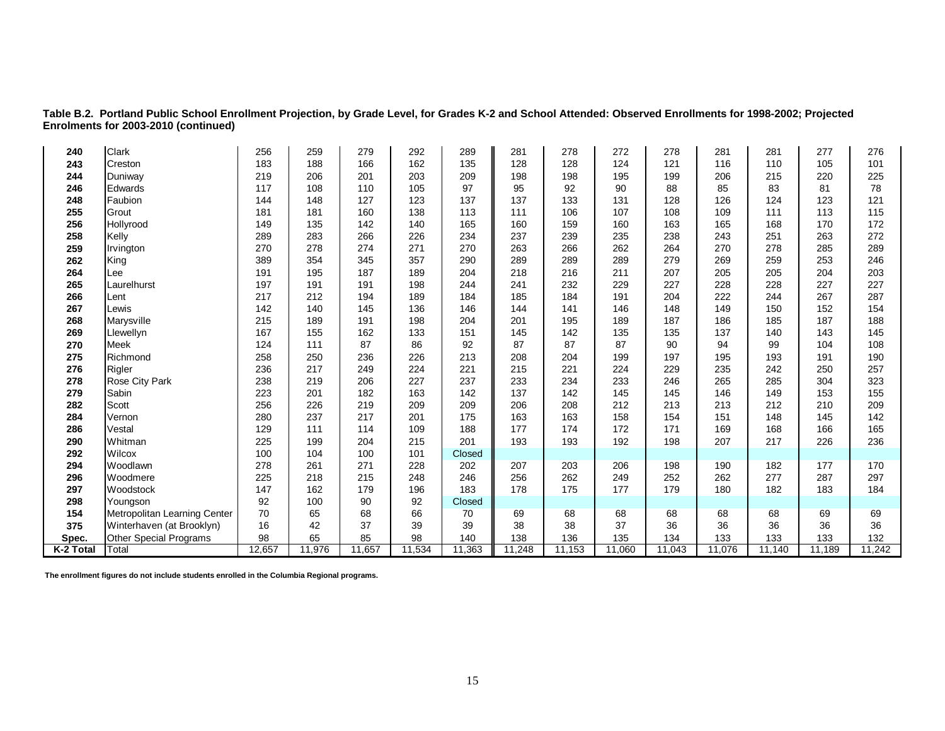**Table B.2. Portland Public School Enrollment Projection, by Grade Level, for Grades K-2 and School Attended: Observed Enrollments for 1998-2002; Projected Enrolments for 2003-2010 (continued)** 

| 240       | Clark                        | 256    | 259    | 279    | 292    | 289    | 281    | 278    | 272    | 278    | 281    | 281    | 277    | 276    |
|-----------|------------------------------|--------|--------|--------|--------|--------|--------|--------|--------|--------|--------|--------|--------|--------|
| 243       | Creston                      | 183    | 188    | 166    | 162    | 135    | 128    | 128    | 124    | 121    | 116    | 110    | 105    | 101    |
| 244       | Duniway                      | 219    | 206    | 201    | 203    | 209    | 198    | 198    | 195    | 199    | 206    | 215    | 220    | 225    |
| 246       | Edwards                      | 117    | 108    | 110    | 105    | 97     | 95     | 92     | 90     | 88     | 85     | 83     | 81     | 78     |
| 248       | Faubion                      | 144    | 148    | 127    | 123    | 137    | 137    | 133    | 131    | 128    | 126    | 124    | 123    | 121    |
| 255       | Grout                        | 181    | 181    | 160    | 138    | 113    | 111    | 106    | 107    | 108    | 109    | 111    | 113    | 115    |
| 256       | Hollyrood                    | 149    | 135    | 142    | 140    | 165    | 160    | 159    | 160    | 163    | 165    | 168    | 170    | 172    |
| 258       | Kelly                        | 289    | 283    | 266    | 226    | 234    | 237    | 239    | 235    | 238    | 243    | 251    | 263    | 272    |
| 259       | Irvington                    | 270    | 278    | 274    | 271    | 270    | 263    | 266    | 262    | 264    | 270    | 278    | 285    | 289    |
| 262       | King                         | 389    | 354    | 345    | 357    | 290    | 289    | 289    | 289    | 279    | 269    | 259    | 253    | 246    |
| 264       | Lee                          | 191    | 195    | 187    | 189    | 204    | 218    | 216    | 211    | 207    | 205    | 205    | 204    | 203    |
| 265       | Laurelhurst                  | 197    | 191    | 191    | 198    | 244    | 241    | 232    | 229    | 227    | 228    | 228    | 227    | 227    |
| 266       | Lent                         | 217    | 212    | 194    | 189    | 184    | 185    | 184    | 191    | 204    | 222    | 244    | 267    | 287    |
| 267       | Lewis                        | 142    | 140    | 145    | 136    | 146    | 144    | 141    | 146    | 148    | 149    | 150    | 152    | 154    |
| 268       | Marysville                   | 215    | 189    | 191    | 198    | 204    | 201    | 195    | 189    | 187    | 186    | 185    | 187    | 188    |
| 269       | Llewellyn                    | 167    | 155    | 162    | 133    | 151    | 145    | 142    | 135    | 135    | 137    | 140    | 143    | 145    |
| 270       | Meek                         | 124    | 111    | 87     | 86     | 92     | 87     | 87     | 87     | 90     | 94     | 99     | 104    | 108    |
| 275       | Richmond                     | 258    | 250    | 236    | 226    | 213    | 208    | 204    | 199    | 197    | 195    | 193    | 191    | 190    |
| 276       | Rigler                       | 236    | 217    | 249    | 224    | 221    | 215    | 221    | 224    | 229    | 235    | 242    | 250    | 257    |
| 278       | Rose City Park               | 238    | 219    | 206    | 227    | 237    | 233    | 234    | 233    | 246    | 265    | 285    | 304    | 323    |
| 279       | Sabin                        | 223    | 201    | 182    | 163    | 142    | 137    | 142    | 145    | 145    | 146    | 149    | 153    | 155    |
| 282       | Scott                        | 256    | 226    | 219    | 209    | 209    | 206    | 208    | 212    | 213    | 213    | 212    | 210    | 209    |
| 284       | Vernon                       | 280    | 237    | 217    | 201    | 175    | 163    | 163    | 158    | 154    | 151    | 148    | 145    | 142    |
| 286       | Vestal                       | 129    | 111    | 114    | 109    | 188    | 177    | 174    | 172    | 171    | 169    | 168    | 166    | 165    |
| 290       | Whitman                      | 225    | 199    | 204    | 215    | 201    | 193    | 193    | 192    | 198    | 207    | 217    | 226    | 236    |
| 292       | Wilcox                       | 100    | 104    | 100    | 101    | Closed |        |        |        |        |        |        |        |        |
| 294       | Woodlawn                     | 278    | 261    | 271    | 228    | 202    | 207    | 203    | 206    | 198    | 190    | 182    | 177    | 170    |
| 296       | Woodmere                     | 225    | 218    | 215    | 248    | 246    | 256    | 262    | 249    | 252    | 262    | 277    | 287    | 297    |
| 297       | Woodstock                    | 147    | 162    | 179    | 196    | 183    | 178    | 175    | 177    | 179    | 180    | 182    | 183    | 184    |
| 298       | Youngson                     | 92     | 100    | 90     | 92     | Closed |        |        |        |        |        |        |        |        |
| 154       | Metropolitan Learning Center | 70     | 65     | 68     | 66     | 70     | 69     | 68     | 68     | 68     | 68     | 68     | 69     | 69     |
| 375       | Winterhaven (at Brooklyn)    | 16     | 42     | 37     | 39     | 39     | 38     | 38     | 37     | 36     | 36     | 36     | 36     | 36     |
| Spec.     | Other Special Programs       | 98     | 65     | 85     | 98     | 140    | 138    | 136    | 135    | 134    | 133    | 133    | 133    | 132    |
| K-2 Total | Total                        | 12,657 | 11,976 | 11,657 | 11,534 | 11,363 | 11,248 | 11,153 | 11,060 | 11,043 | 11,076 | 11,140 | 11,189 | 11,242 |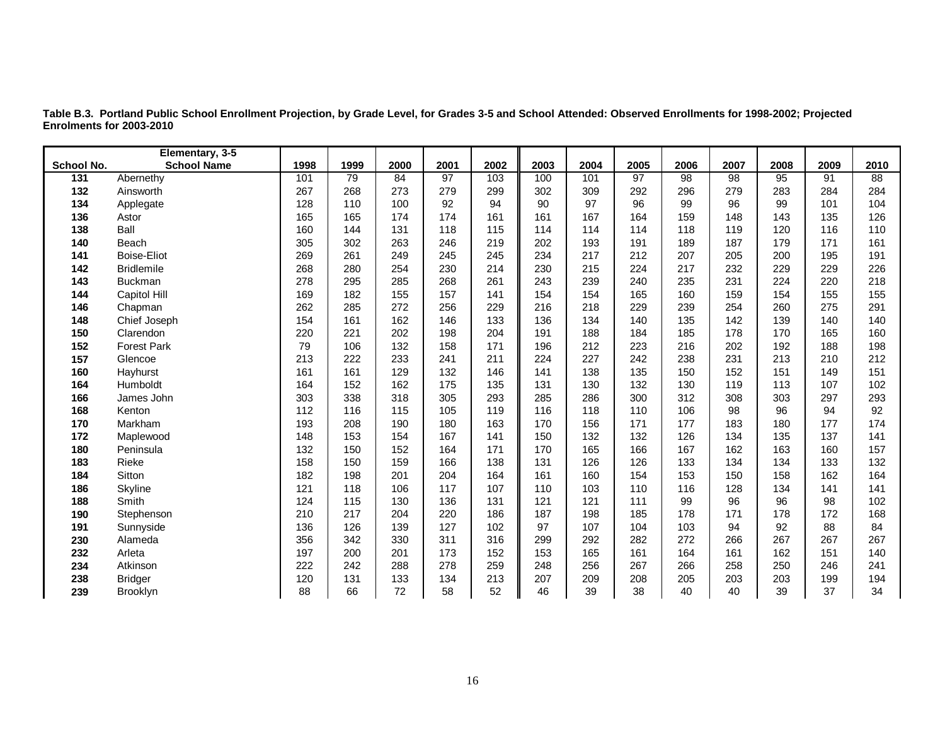|            | Elementary, 3-5    |      |      |      |                 |      |      |      |                 |                 |                 |      |      |                 |
|------------|--------------------|------|------|------|-----------------|------|------|------|-----------------|-----------------|-----------------|------|------|-----------------|
| School No. | <b>School Name</b> | 1998 | 1999 | 2000 | 2001            | 2002 | 2003 | 2004 | 2005            | 2006            | 2007            | 2008 | 2009 | 2010            |
| 131        | Abernethy          | 101  | 79   | 84   | $\overline{97}$ | 103  | 100  | 101  | $\overline{97}$ | $\overline{98}$ | $\overline{98}$ | 95   | 91   | $\overline{88}$ |
| 132        | Ainsworth          | 267  | 268  | 273  | 279             | 299  | 302  | 309  | 292             | 296             | 279             | 283  | 284  | 284             |
| 134        | Applegate          | 128  | 110  | 100  | 92              | 94   | 90   | 97   | 96              | 99              | 96              | 99   | 101  | 104             |
| 136        | Astor              | 165  | 165  | 174  | 174             | 161  | 161  | 167  | 164             | 159             | 148             | 143  | 135  | 126             |
| 138        | Ball               | 160  | 144  | 131  | 118             | 115  | 114  | 114  | 114             | 118             | 119             | 120  | 116  | 110             |
| 140        | Beach              | 305  | 302  | 263  | 246             | 219  | 202  | 193  | 191             | 189             | 187             | 179  | 171  | 161             |
| 141        | <b>Boise-Eliot</b> | 269  | 261  | 249  | 245             | 245  | 234  | 217  | 212             | 207             | 205             | 200  | 195  | 191             |
| 142        | <b>Bridlemile</b>  | 268  | 280  | 254  | 230             | 214  | 230  | 215  | 224             | 217             | 232             | 229  | 229  | 226             |
| 143        | <b>Buckman</b>     | 278  | 295  | 285  | 268             | 261  | 243  | 239  | 240             | 235             | 231             | 224  | 220  | 218             |
| 144        | Capitol Hill       | 169  | 182  | 155  | 157             | 141  | 154  | 154  | 165             | 160             | 159             | 154  | 155  | 155             |
| 146        | Chapman            | 262  | 285  | 272  | 256             | 229  | 216  | 218  | 229             | 239             | 254             | 260  | 275  | 291             |
| 148        | Chief Joseph       | 154  | 161  | 162  | 146             | 133  | 136  | 134  | 140             | 135             | 142             | 139  | 140  | 140             |
| 150        | Clarendon          | 220  | 221  | 202  | 198             | 204  | 191  | 188  | 184             | 185             | 178             | 170  | 165  | 160             |
| 152        | <b>Forest Park</b> | 79   | 106  | 132  | 158             | 171  | 196  | 212  | 223             | 216             | 202             | 192  | 188  | 198             |
| 157        | Glencoe            | 213  | 222  | 233  | 241             | 211  | 224  | 227  | 242             | 238             | 231             | 213  | 210  | 212             |
| 160        | Hayhurst           | 161  | 161  | 129  | 132             | 146  | 141  | 138  | 135             | 150             | 152             | 151  | 149  | 151             |
| 164        | Humboldt           | 164  | 152  | 162  | 175             | 135  | 131  | 130  | 132             | 130             | 119             | 113  | 107  | 102             |
| 166        | James John         | 303  | 338  | 318  | 305             | 293  | 285  | 286  | 300             | 312             | 308             | 303  | 297  | 293             |
| 168        | Kenton             | 112  | 116  | 115  | 105             | 119  | 116  | 118  | 110             | 106             | 98              | 96   | 94   | 92              |
| 170        | Markham            | 193  | 208  | 190  | 180             | 163  | 170  | 156  | 171             | 177             | 183             | 180  | 177  | 174             |
| 172        | Maplewood          | 148  | 153  | 154  | 167             | 141  | 150  | 132  | 132             | 126             | 134             | 135  | 137  | 141             |
| 180        | Peninsula          | 132  | 150  | 152  | 164             | 171  | 170  | 165  | 166             | 167             | 162             | 163  | 160  | 157             |
| 183        | Rieke              | 158  | 150  | 159  | 166             | 138  | 131  | 126  | 126             | 133             | 134             | 134  | 133  | 132             |
| 184        | <b>Sitton</b>      | 182  | 198  | 201  | 204             | 164  | 161  | 160  | 154             | 153             | 150             | 158  | 162  | 164             |
| 186        | Skyline            | 121  | 118  | 106  | 117             | 107  | 110  | 103  | 110             | 116             | 128             | 134  | 141  | 141             |
| 188        | Smith              | 124  | 115  | 130  | 136             | 131  | 121  | 121  | 111             | 99              | 96              | 96   | 98   | 102             |
| 190        | Stephenson         | 210  | 217  | 204  | 220             | 186  | 187  | 198  | 185             | 178             | 171             | 178  | 172  | 168             |
| 191        | Sunnyside          | 136  | 126  | 139  | 127             | 102  | 97   | 107  | 104             | 103             | 94              | 92   | 88   | 84              |
| 230        | Alameda            | 356  | 342  | 330  | 311             | 316  | 299  | 292  | 282             | 272             | 266             | 267  | 267  | 267             |
| 232        | Arleta             | 197  | 200  | 201  | 173             | 152  | 153  | 165  | 161             | 164             | 161             | 162  | 151  | 140             |
| 234        | Atkinson           | 222  | 242  | 288  | 278             | 259  | 248  | 256  | 267             | 266             | 258             | 250  | 246  | 241             |
| 238        | <b>Bridger</b>     | 120  | 131  | 133  | 134             | 213  | 207  | 209  | 208             | 205             | 203             | 203  | 199  | 194             |
| 239        | Brooklyn           | 88   | 66   | 72   | 58              | 52   | 46   | 39   | 38              | 40              | 40              | 39   | 37   | 34              |

**Table B.3. Portland Public School Enrollment Projection, by Grade Level, for Grades 3-5 and School Attended: Observed Enrollments for 1998-2002; Projected Enrolments for 2003-2010**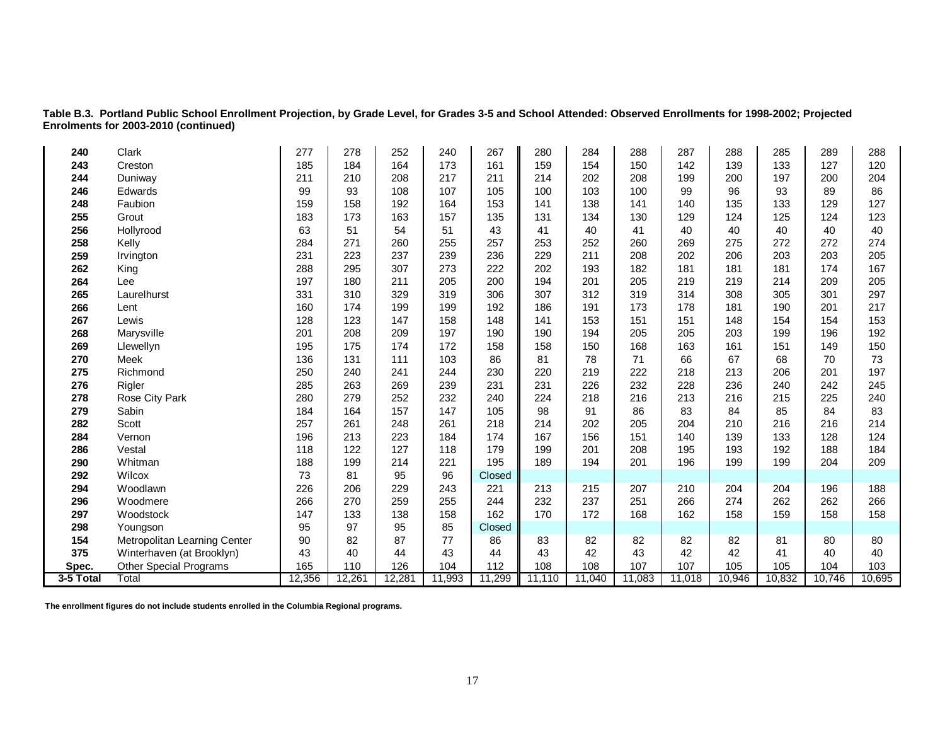**Table B.3. Portland Public School Enrollment Projection, by Grade Level, for Grades 3-5 and School Attended: Observed Enrollments for 1998-2002; Projected Enrolments for 2003-2010 (continued)**

| 240       | Clark                         | 277    | 278    | 252    | 240    | 267    | 280    | 284    | 288    | 287    | 288    | 285    | 289    | 288    |
|-----------|-------------------------------|--------|--------|--------|--------|--------|--------|--------|--------|--------|--------|--------|--------|--------|
| 243       | Creston                       | 185    | 184    | 164    | 173    | 161    | 159    | 154    | 150    | 142    | 139    | 133    | 127    | 120    |
| 244       | Duniway                       | 211    | 210    | 208    | 217    | 211    | 214    | 202    | 208    | 199    | 200    | 197    | 200    | 204    |
| 246       | Edwards                       | 99     | 93     | 108    | 107    | 105    | 100    | 103    | 100    | 99     | 96     | 93     | 89     | 86     |
| 248       | Faubion                       | 159    | 158    | 192    | 164    | 153    | 141    | 138    | 141    | 140    | 135    | 133    | 129    | 127    |
| 255       | Grout                         | 183    | 173    | 163    | 157    | 135    | 131    | 134    | 130    | 129    | 124    | 125    | 124    | 123    |
| 256       | Hollyrood                     | 63     | 51     | 54     | 51     | 43     | 41     | 40     | 41     | 40     | 40     | 40     | 40     | 40     |
| 258       | Kelly                         | 284    | 271    | 260    | 255    | 257    | 253    | 252    | 260    | 269    | 275    | 272    | 272    | 274    |
| 259       | Irvington                     | 231    | 223    | 237    | 239    | 236    | 229    | 211    | 208    | 202    | 206    | 203    | 203    | 205    |
| 262       | King                          | 288    | 295    | 307    | 273    | 222    | 202    | 193    | 182    | 181    | 181    | 181    | 174    | 167    |
| 264       | Lee                           | 197    | 180    | 211    | 205    | 200    | 194    | 201    | 205    | 219    | 219    | 214    | 209    | 205    |
| 265       | Laurelhurst                   | 331    | 310    | 329    | 319    | 306    | 307    | 312    | 319    | 314    | 308    | 305    | 301    | 297    |
| 266       | Lent                          | 160    | 174    | 199    | 199    | 192    | 186    | 191    | 173    | 178    | 181    | 190    | 201    | 217    |
| 267       | Lewis                         | 128    | 123    | 147    | 158    | 148    | 141    | 153    | 151    | 151    | 148    | 154    | 154    | 153    |
| 268       | Marysville                    | 201    | 208    | 209    | 197    | 190    | 190    | 194    | 205    | 205    | 203    | 199    | 196    | 192    |
| 269       | Llewellyn                     | 195    | 175    | 174    | 172    | 158    | 158    | 150    | 168    | 163    | 161    | 151    | 149    | 150    |
| 270       | <b>Meek</b>                   | 136    | 131    | 111    | 103    | 86     | 81     | 78     | 71     | 66     | 67     | 68     | 70     | 73     |
| 275       | Richmond                      | 250    | 240    | 241    | 244    | 230    | 220    | 219    | 222    | 218    | 213    | 206    | 201    | 197    |
| 276       | Rigler                        | 285    | 263    | 269    | 239    | 231    | 231    | 226    | 232    | 228    | 236    | 240    | 242    | 245    |
| 278       | Rose City Park                | 280    | 279    | 252    | 232    | 240    | 224    | 218    | 216    | 213    | 216    | 215    | 225    | 240    |
| 279       | Sabin                         | 184    | 164    | 157    | 147    | 105    | 98     | 91     | 86     | 83     | 84     | 85     | 84     | 83     |
| 282       | Scott                         | 257    | 261    | 248    | 261    | 218    | 214    | 202    | 205    | 204    | 210    | 216    | 216    | 214    |
| 284       | Vernon                        | 196    | 213    | 223    | 184    | 174    | 167    | 156    | 151    | 140    | 139    | 133    | 128    | 124    |
| 286       | Vestal                        | 118    | 122    | 127    | 118    | 179    | 199    | 201    | 208    | 195    | 193    | 192    | 188    | 184    |
| 290       | Whitman                       | 188    | 199    | 214    | 221    | 195    | 189    | 194    | 201    | 196    | 199    | 199    | 204    | 209    |
| 292       | Wilcox                        | 73     | 81     | 95     | 96     | Closed |        |        |        |        |        |        |        |        |
| 294       | Woodlawn                      | 226    | 206    | 229    | 243    | 221    | 213    | 215    | 207    | 210    | 204    | 204    | 196    | 188    |
| 296       | Woodmere                      | 266    | 270    | 259    | 255    | 244    | 232    | 237    | 251    | 266    | 274    | 262    | 262    | 266    |
| 297       | Woodstock                     | 147    | 133    | 138    | 158    | 162    | 170    | 172    | 168    | 162    | 158    | 159    | 158    | 158    |
| 298       | Youngson                      | 95     | 97     | 95     | 85     | Closed |        |        |        |        |        |        |        |        |
| 154       | Metropolitan Learning Center  | 90     | 82     | 87     | 77     | 86     | 83     | 82     | 82     | 82     | 82     | 81     | 80     | 80     |
| 375       | Winterhaven (at Brooklyn)     | 43     | 40     | 44     | 43     | 44     | 43     | 42     | 43     | 42     | 42     | 41     | 40     | 40     |
| Spec.     | <b>Other Special Programs</b> | 165    | 110    | 126    | 104    | 112    | 108    | 108    | 107    | 107    | 105    | 105    | 104    | 103    |
| 3-5 Total | Total                         | 12,356 | 12,261 | 12,281 | 11,993 | 11,299 | 11,110 | 11,040 | 11,083 | 11,018 | 10,946 | 10,832 | 10,746 | 10,695 |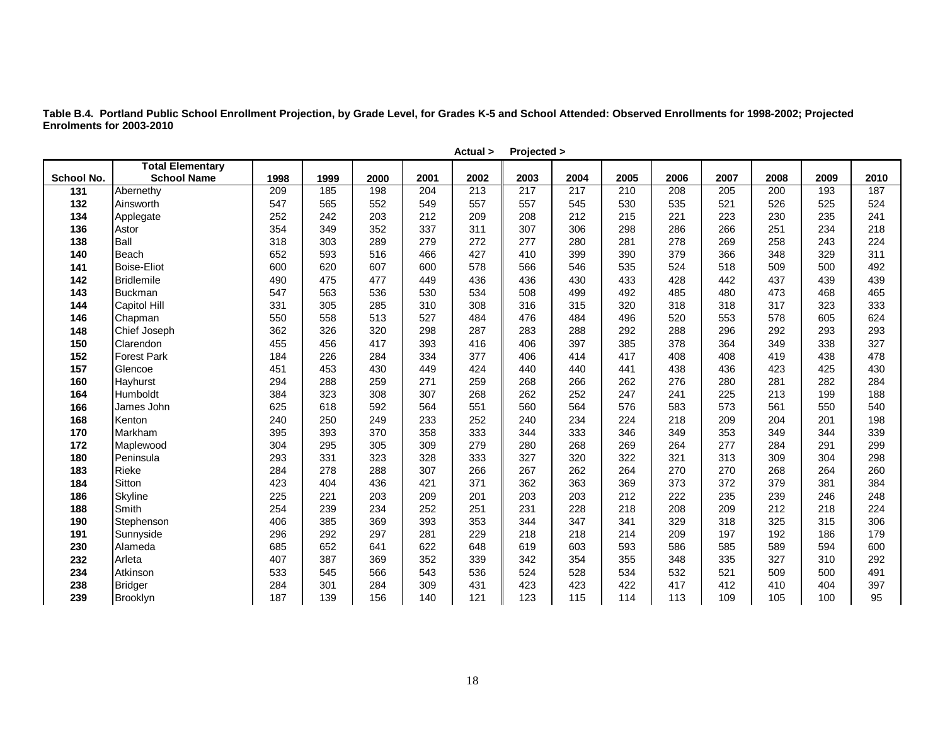**Table B.4. Portland Public School Enrollment Projection, by Grade Level, for Grades K-5 and School Attended: Observed Enrollments for 1998-2002; Projected Enrolments for 2003-2010** 

|            |                         |      |      |      |      | Actual > | Projected > |      |      |      |      |      |      |      |
|------------|-------------------------|------|------|------|------|----------|-------------|------|------|------|------|------|------|------|
|            | <b>Total Elementary</b> |      |      |      |      |          |             |      |      |      |      |      |      |      |
| School No. | <b>School Name</b>      | 1998 | 1999 | 2000 | 2001 | 2002     | 2003        | 2004 | 2005 | 2006 | 2007 | 2008 | 2009 | 2010 |
| 131        | Abernethy               | 209  | 185  | 198  | 204  | 213      | 217         | 217  | 210  | 208  | 205  | 200  | 193  | 187  |
| 132        | Ainsworth               | 547  | 565  | 552  | 549  | 557      | 557         | 545  | 530  | 535  | 521  | 526  | 525  | 524  |
| 134        | Applegate               | 252  | 242  | 203  | 212  | 209      | 208         | 212  | 215  | 221  | 223  | 230  | 235  | 241  |
| 136        | Astor                   | 354  | 349  | 352  | 337  | 311      | 307         | 306  | 298  | 286  | 266  | 251  | 234  | 218  |
| 138        | Ball                    | 318  | 303  | 289  | 279  | 272      | 277         | 280  | 281  | 278  | 269  | 258  | 243  | 224  |
| 140        | Beach                   | 652  | 593  | 516  | 466  | 427      | 410         | 399  | 390  | 379  | 366  | 348  | 329  | 311  |
| 141        | <b>Boise-Eliot</b>      | 600  | 620  | 607  | 600  | 578      | 566         | 546  | 535  | 524  | 518  | 509  | 500  | 492  |
| 142        | Bridlemile              | 490  | 475  | 477  | 449  | 436      | 436         | 430  | 433  | 428  | 442  | 437  | 439  | 439  |
| 143        | <b>Buckman</b>          | 547  | 563  | 536  | 530  | 534      | 508         | 499  | 492  | 485  | 480  | 473  | 468  | 465  |
| 144        | Capitol Hill            | 331  | 305  | 285  | 310  | 308      | 316         | 315  | 320  | 318  | 318  | 317  | 323  | 333  |
| 146        | Chapman                 | 550  | 558  | 513  | 527  | 484      | 476         | 484  | 496  | 520  | 553  | 578  | 605  | 624  |
| 148        | Chief Joseph            | 362  | 326  | 320  | 298  | 287      | 283         | 288  | 292  | 288  | 296  | 292  | 293  | 293  |
| 150        | Clarendon               | 455  | 456  | 417  | 393  | 416      | 406         | 397  | 385  | 378  | 364  | 349  | 338  | 327  |
| 152        | <b>Forest Park</b>      | 184  | 226  | 284  | 334  | 377      | 406         | 414  | 417  | 408  | 408  | 419  | 438  | 478  |
| 157        | Glencoe                 | 451  | 453  | 430  | 449  | 424      | 440         | 440  | 441  | 438  | 436  | 423  | 425  | 430  |
| 160        | Hayhurst                | 294  | 288  | 259  | 271  | 259      | 268         | 266  | 262  | 276  | 280  | 281  | 282  | 284  |
| 164        | Humboldt                | 384  | 323  | 308  | 307  | 268      | 262         | 252  | 247  | 241  | 225  | 213  | 199  | 188  |
| 166        | James John              | 625  | 618  | 592  | 564  | 551      | 560         | 564  | 576  | 583  | 573  | 561  | 550  | 540  |
| 168        | Kenton                  | 240  | 250  | 249  | 233  | 252      | 240         | 234  | 224  | 218  | 209  | 204  | 201  | 198  |
| 170        | Markham                 | 395  | 393  | 370  | 358  | 333      | 344         | 333  | 346  | 349  | 353  | 349  | 344  | 339  |
| 172        | Maplewood               | 304  | 295  | 305  | 309  | 279      | 280         | 268  | 269  | 264  | 277  | 284  | 291  | 299  |
| 180        | Peninsula               | 293  | 331  | 323  | 328  | 333      | 327         | 320  | 322  | 321  | 313  | 309  | 304  | 298  |
| 183        | Rieke                   | 284  | 278  | 288  | 307  | 266      | 267         | 262  | 264  | 270  | 270  | 268  | 264  | 260  |
| 184        | Sitton                  | 423  | 404  | 436  | 421  | 371      | 362         | 363  | 369  | 373  | 372  | 379  | 381  | 384  |
| 186        | Skyline                 | 225  | 221  | 203  | 209  | 201      | 203         | 203  | 212  | 222  | 235  | 239  | 246  | 248  |
| 188        | Smith                   | 254  | 239  | 234  | 252  | 251      | 231         | 228  | 218  | 208  | 209  | 212  | 218  | 224  |
| 190        | Stephenson              | 406  | 385  | 369  | 393  | 353      | 344         | 347  | 341  | 329  | 318  | 325  | 315  | 306  |
| 191        | Sunnyside               | 296  | 292  | 297  | 281  | 229      | 218         | 218  | 214  | 209  | 197  | 192  | 186  | 179  |
| 230        | Alameda                 | 685  | 652  | 641  | 622  | 648      | 619         | 603  | 593  | 586  | 585  | 589  | 594  | 600  |
| 232        | Arleta                  | 407  | 387  | 369  | 352  | 339      | 342         | 354  | 355  | 348  | 335  | 327  | 310  | 292  |
| 234        | Atkinson                | 533  | 545  | 566  | 543  | 536      | 524         | 528  | 534  | 532  | 521  | 509  | 500  | 491  |
| 238        | Bridger                 | 284  | 301  | 284  | 309  | 431      | 423         | 423  | 422  | 417  | 412  | 410  | 404  | 397  |
| 239        | Brooklyn                | 187  | 139  | 156  | 140  | 121      | 123         | 115  | 114  | 113  | 109  | 105  | 100  | 95   |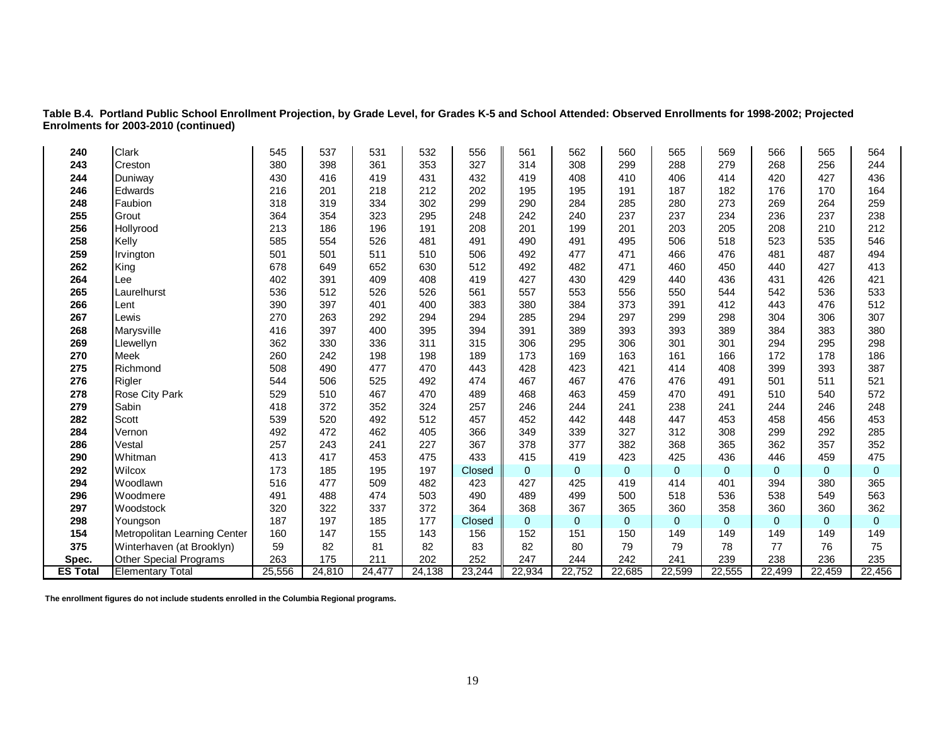**Table B.4. Portland Public School Enrollment Projection, by Grade Level, for Grades K-5 and School Attended: Observed Enrollments for 1998-2002; Projected Enrolments for 2003-2010 (continued)**

| 240             | <b>Clark</b>                  | 545    | 537    | 531    | 532    | 556    | 561         | 562          | 560            | 565            | 569            | 566          | 565            | 564            |
|-----------------|-------------------------------|--------|--------|--------|--------|--------|-------------|--------------|----------------|----------------|----------------|--------------|----------------|----------------|
| 243             | Creston                       | 380    | 398    | 361    | 353    | 327    | 314         | 308          | 299            | 288            | 279            | 268          | 256            | 244            |
| 244             | Duniway                       | 430    | 416    | 419    | 431    | 432    | 419         | 408          | 410            | 406            | 414            | 420          | 427            | 436            |
| 246             | Edwards                       | 216    | 201    | 218    | 212    | 202    | 195         | 195          | 191            | 187            | 182            | 176          | 170            | 164            |
| 248             | Faubion                       | 318    | 319    | 334    | 302    | 299    | 290         | 284          | 285            | 280            | 273            | 269          | 264            | 259            |
| 255             | Grout                         | 364    | 354    | 323    | 295    | 248    | 242         | 240          | 237            | 237            | 234            | 236          | 237            | 238            |
| 256             | Hollyrood                     | 213    | 186    | 196    | 191    | 208    | 201         | 199          | 201            | 203            | 205            | 208          | 210            | 212            |
| 258             | Kelly                         | 585    | 554    | 526    | 481    | 491    | 490         | 491          | 495            | 506            | 518            | 523          | 535            | 546            |
| 259             | Irvington                     | 501    | 501    | 511    | 510    | 506    | 492         | 477          | 471            | 466            | 476            | 481          | 487            | 494            |
| 262             | King                          | 678    | 649    | 652    | 630    | 512    | 492         | 482          | 471            | 460            | 450            | 440          | 427            | 413            |
| 264             | Lee                           | 402    | 391    | 409    | 408    | 419    | 427         | 430          | 429            | 440            | 436            | 431          | 426            | 421            |
| 265             | Laurelhurst                   | 536    | 512    | 526    | 526    | 561    | 557         | 553          | 556            | 550            | 544            | 542          | 536            | 533            |
| 266             | Lent                          | 390    | 397    | 401    | 400    | 383    | 380         | 384          | 373            | 391            | 412            | 443          | 476            | 512            |
| 267             | Lewis                         | 270    | 263    | 292    | 294    | 294    | 285         | 294          | 297            | 299            | 298            | 304          | 306            | 307            |
| 268             | Marysville                    | 416    | 397    | 400    | 395    | 394    | 391         | 389          | 393            | 393            | 389            | 384          | 383            | 380            |
| 269             | Llewellyn                     | 362    | 330    | 336    | 311    | 315    | 306         | 295          | 306            | 301            | 301            | 294          | 295            | 298            |
| 270             | <b>Meek</b>                   | 260    | 242    | 198    | 198    | 189    | 173         | 169          | 163            | 161            | 166            | 172          | 178            | 186            |
| 275             | Richmond                      | 508    | 490    | 477    | 470    | 443    | 428         | 423          | 421            | 414            | 408            | 399          | 393            | 387            |
| 276             | Rigler                        | 544    | 506    | 525    | 492    | 474    | 467         | 467          | 476            | 476            | 491            | 501          | 511            | 521            |
| 278             | <b>Rose City Park</b>         | 529    | 510    | 467    | 470    | 489    | 468         | 463          | 459            | 470            | 491            | 510          | 540            | 572            |
| 279             | Sabin                         | 418    | 372    | 352    | 324    | 257    | 246         | 244          | 241            | 238            | 241            | 244          | 246            | 248            |
| 282             | Scott                         | 539    | 520    | 492    | 512    | 457    | 452         | 442          | 448            | 447            | 453            | 458          | 456            | 453            |
| 284             | Vernon                        | 492    | 472    | 462    | 405    | 366    | 349         | 339          | 327            | 312            | 308            | 299          | 292            | 285            |
| 286             | Vestal                        | 257    | 243    | 241    | 227    | 367    | 378         | 377          | 382            | 368            | 365            | 362          | 357            | 352            |
| 290             | Whitman                       | 413    | 417    | 453    | 475    | 433    | 415         | 419          | 423            | 425            | 436            | 446          | 459            | 475            |
| 292             | Wilcox                        | 173    | 185    | 195    | 197    | Closed | $\mathbf 0$ | $\mathbf 0$  | $\overline{0}$ | $\overline{0}$ | $\overline{0}$ | 0            | 0              | $\mathbf{0}$   |
| 294             | Woodlawn                      | 516    | 477    | 509    | 482    | 423    | 427         | 425          | 419            | 414            | 401            | 394          | 380            | 365            |
| 296             | <b>Woodmere</b>               | 491    | 488    | 474    | 503    | 490    | 489         | 499          | 500            | 518            | 536            | 538          | 549            | 563            |
| 297             | Woodstock                     | 320    | 322    | 337    | 372    | 364    | 368         | 367          | 365            | 360            | 358            | 360          | 360            | 362            |
| 298             | Youngson                      | 187    | 197    | 185    | 177    | Closed | $\mathbf 0$ | $\mathbf{0}$ | $\overline{0}$ | $\overline{0}$ | $\Omega$       | $\mathbf{0}$ | $\overline{0}$ | $\overline{0}$ |
| 154             | Metropolitan Learning Center  | 160    | 147    | 155    | 143    | 156    | 152         | 151          | 150            | 149            | 149            | 149          | 149            | 149            |
| 375             | Winterhaven (at Brooklyn)     | 59     | 82     | 81     | 82     | 83     | 82          | 80           | 79             | 79             | 78             | 77           | 76             | 75             |
| Spec.           | <b>Other Special Programs</b> | 263    | 175    | 211    | 202    | 252    | 247         | 244          | 242            | 241            | 239            | 238          | 236            | 235            |
| <b>ES Total</b> | <b>Elementary Total</b>       | 25,556 | 24,810 | 24,477 | 24,138 | 23,244 | 22,934      | 22,752       | 22,685         | 22,599         | 22,555         | 22,499       | 22,459         | 22,456         |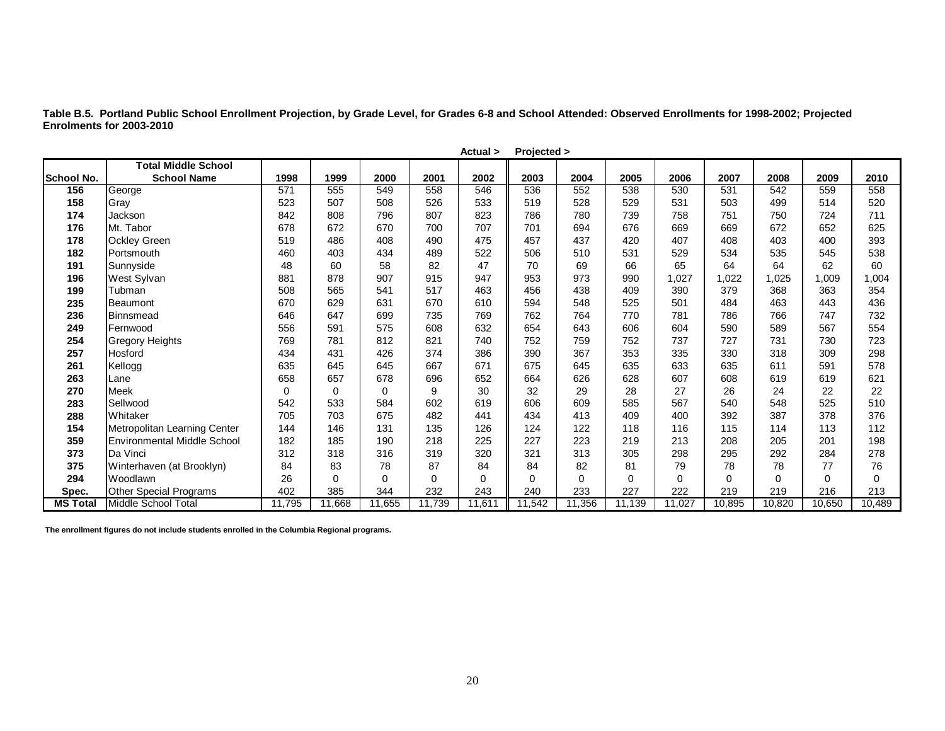**Table B.5. Portland Public School Enrollment Projection, by Grade Level, for Grades 6-8 and School Attended: Observed Enrollments for 1998-2002; Projected Enrolments for 2003-2010**

|                   |                                    |        |          |             |             | Actual > | Projected > |          |          |          |        |          |        |          |
|-------------------|------------------------------------|--------|----------|-------------|-------------|----------|-------------|----------|----------|----------|--------|----------|--------|----------|
|                   | <b>Total Middle School</b>         |        |          |             |             |          |             |          |          |          |        |          |        |          |
| <b>School No.</b> | <b>School Name</b>                 | 1998   | 1999     | 2000        | 2001        | 2002     | 2003        | 2004     | 2005     | 2006     | 2007   | 2008     | 2009   | 2010     |
| 156               | George                             | 571    | 555      | 549         | 558         | 546      | 536         | 552      | 538      | 530      | 531    | 542      | 559    | 558      |
| 158               | Gray                               | 523    | 507      | 508         | 526         | 533      | 519         | 528      | 529      | 531      | 503    | 499      | 514    | 520      |
| 174               | Jackson                            | 842    | 808      | 796         | 807         | 823      | 786         | 780      | 739      | 758      | 751    | 750      | 724    | 711      |
| 176               | Mt. Tabor                          | 678    | 672      | 670         | 700         | 707      | 701         | 694      | 676      | 669      | 669    | 672      | 652    | 625      |
| 178               | <b>Ockley Green</b>                | 519    | 486      | 408         | 490         | 475      | 457         | 437      | 420      | 407      | 408    | 403      | 400    | 393      |
| 182               | Portsmouth                         | 460    | 403      | 434         | 489         | 522      | 506         | 510      | 531      | 529      | 534    | 535      | 545    | 538      |
| 191               | Sunnyside                          | 48     | 60       | 58          | 82          | 47       | 70          | 69       | 66       | 65       | 64     | 64       | 62     | 60       |
| 196               | West Sylvan                        | 881    | 878      | 907         | 915         | 947      | 953         | 973      | 990      | 1,027    | 1,022  | 1,025    | 1,009  | 1,004    |
| 199               | Tubman                             | 508    | 565      | 541         | 517         | 463      | 456         | 438      | 409      | 390      | 379    | 368      | 363    | 354      |
| 235               | Beaumont                           | 670    | 629      | 631         | 670         | 610      | 594         | 548      | 525      | 501      | 484    | 463      | 443    | 436      |
| 236               | Binnsmead                          | 646    | 647      | 699         | 735         | 769      | 762         | 764      | 770      | 781      | 786    | 766      | 747    | 732      |
| 249               | Fernwood                           | 556    | 591      | 575         | 608         | 632      | 654         | 643      | 606      | 604      | 590    | 589      | 567    | 554      |
| 254               | <b>Gregory Heights</b>             | 769    | 781      | 812         | 821         | 740      | 752         | 759      | 752      | 737      | 727    | 731      | 730    | 723      |
| 257               | Hosford                            | 434    | 431      | 426         | 374         | 386      | 390         | 367      | 353      | 335      | 330    | 318      | 309    | 298      |
| 261               | Kellogg                            | 635    | 645      | 645         | 667         | 671      | 675         | 645      | 635      | 633      | 635    | 611      | 591    | 578      |
| 263               | Lane                               | 658    | 657      | 678         | 696         | 652      | 664         | 626      | 628      | 607      | 608    | 619      | 619    | 621      |
| 270               | <b>Meek</b>                        | 0      | $\Omega$ | $\mathbf 0$ | 9           | 30       | 32          | 29       | 28       | 27       | 26     | 24       | 22     | 22       |
| 283               | Sellwood                           | 542    | 533      | 584         | 602         | 619      | 606         | 609      | 585      | 567      | 540    | 548      | 525    | 510      |
| 288               | Whitaker                           | 705    | 703      | 675         | 482         | 441      | 434         | 413      | 409      | 400      | 392    | 387      | 378    | 376      |
| 154               | Metropolitan Learning Center       | 144    | 146      | 131         | 135         | 126      | 124         | 122      | 118      | 116      | 115    | 114      | 113    | 112      |
| 359               | <b>Environmental Middle School</b> | 182    | 185      | 190         | 218         | 225      | 227         | 223      | 219      | 213      | 208    | 205      | 201    | 198      |
| 373               | Da Vinci                           | 312    | 318      | 316         | 319         | 320      | 321         | 313      | 305      | 298      | 295    | 292      | 284    | 278      |
| 375               | Winterhaven (at Brooklyn)          | 84     | 83       | 78          | 87          | 84       | 84          | 82       | 81       | 79       | 78     | 78       | 77     | 76       |
| 294               | Woodlawn                           | 26     | 0        | 0           | $\mathbf 0$ | $\Omega$ | 0           | $\Omega$ | $\Omega$ | $\Omega$ | 0      | $\Omega$ | 0      | $\Omega$ |
| Spec.             | <b>Other Special Programs</b>      | 402    | 385      | 344         | 232         | 243      | 240         | 233      | 227      | 222      | 219    | 219      | 216    | 213      |
| <b>MS Total</b>   | Middle School Total                | 11,795 | 11,668   | 11,655      | 11,739      | 11,611   | 11,542      | 11,356   | 11,139   | 11,027   | 10,895 | 10,820   | 10,650 | 10,489   |